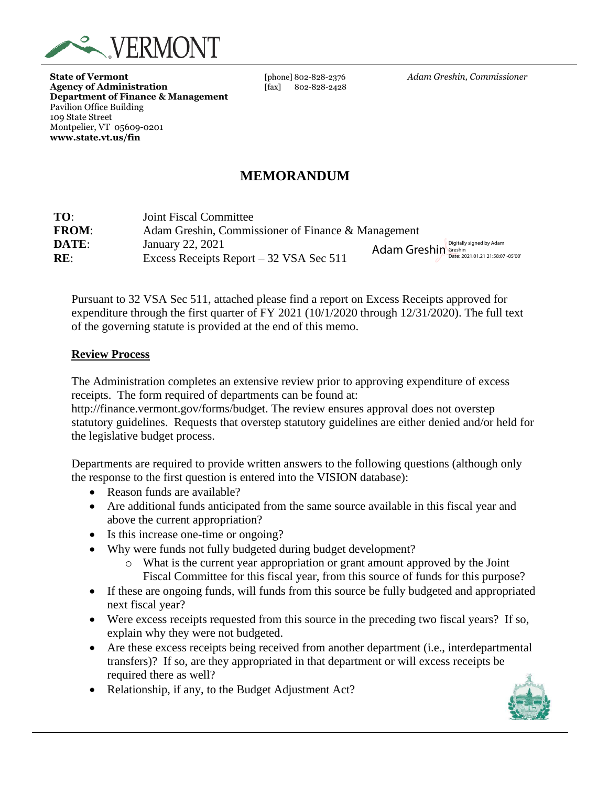

**State of Vermont** [phone] 802-828-2376 *Adam Greshin, Commissioner* Agency of Administration [fax] 802-828-2428 **Department of Finance & Management** Pavilion Office Building 109 State Street Montpelier, VT 05609-0201 **www.state.vt.us/fin**

# **MEMORANDUM**

| TO:          | Joint Fiscal Committee                             |                                               |  |
|--------------|----------------------------------------------------|-----------------------------------------------|--|
| <b>FROM:</b> | Adam Greshin, Commissioner of Finance & Management |                                               |  |
| DATE:        | January 22, 2021                                   | Adam Greshin Greshin Digitally signed by Adam |  |
| RE:          | Excess Receipts Report – 32 VSA Sec 511            |                                               |  |

Pursuant to 32 VSA Sec 511, attached please find a report on Excess Receipts approved for expenditure through the first quarter of FY 2021 (10/1/2020 through 12/31/2020). The full text of the governing statute is provided at the end of this memo.

#### **Review Process**

The Administration completes an extensive review prior to approving expenditure of excess receipts. The form required of departments can be found at:

http://finance.vermont.gov/forms/budget. The review ensures approval does not overstep statutory guidelines. Requests that overstep statutory guidelines are either denied and/or held for the legislative budget process.

Departments are required to provide written answers to the following questions (although only the response to the first question is entered into the VISION database):

- Reason funds are available?
- Are additional funds anticipated from the same source available in this fiscal year and above the current appropriation?
- Is this increase one-time or ongoing?
- Why were funds not fully budgeted during budget development?
	- o What is the current year appropriation or grant amount approved by the Joint Fiscal Committee for this fiscal year, from this source of funds for this purpose?
- If these are ongoing funds, will funds from this source be fully budgeted and appropriated next fiscal year?
- Were excess receipts requested from this source in the preceding two fiscal years? If so, explain why they were not budgeted.
- Are these excess receipts being received from another department (i.e., interdepartmental transfers)? If so, are they appropriated in that department or will excess receipts be required there as well?
- Relationship, if any, to the Budget Adjustment Act?

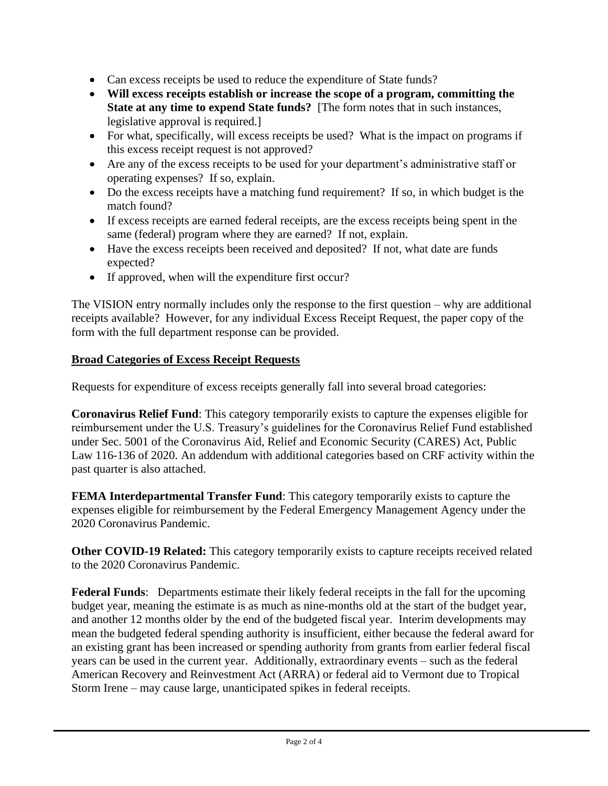- Can excess receipts be used to reduce the expenditure of State funds?
- **Will excess receipts establish or increase the scope of a program, committing the State at any time to expend State funds?** [The form notes that in such instances, legislative approval is required.]
- For what, specifically, will excess receipts be used? What is the impact on programs if this excess receipt request is not approved?
- Are any of the excess receipts to be used for your department's administrative staff or operating expenses? If so, explain.
- Do the excess receipts have a matching fund requirement? If so, in which budget is the match found?
- If excess receipts are earned federal receipts, are the excess receipts being spent in the same (federal) program where they are earned? If not, explain.
- Have the excess receipts been received and deposited? If not, what date are funds expected?
- If approved, when will the expenditure first occur?

The VISION entry normally includes only the response to the first question – why are additional receipts available? However, for any individual Excess Receipt Request, the paper copy of the form with the full department response can be provided.

### **Broad Categories of Excess Receipt Requests**

Requests for expenditure of excess receipts generally fall into several broad categories:

**Coronavirus Relief Fund**: This category temporarily exists to capture the expenses eligible for reimbursement under the U.S. Treasury's guidelines for the Coronavirus Relief Fund established under Sec. 5001 of the Coronavirus Aid, Relief and Economic Security (CARES) Act, Public Law 116-136 of 2020. An addendum with additional categories based on CRF activity within the past quarter is also attached.

**FEMA Interdepartmental Transfer Fund**: This category temporarily exists to capture the expenses eligible for reimbursement by the Federal Emergency Management Agency under the 2020 Coronavirus Pandemic.

**Other COVID-19 Related:** This category temporarily exists to capture receipts received related to the 2020 Coronavirus Pandemic.

**Federal Funds**: Departments estimate their likely federal receipts in the fall for the upcoming budget year, meaning the estimate is as much as nine-months old at the start of the budget year, and another 12 months older by the end of the budgeted fiscal year. Interim developments may mean the budgeted federal spending authority is insufficient, either because the federal award for an existing grant has been increased or spending authority from grants from earlier federal fiscal years can be used in the current year. Additionally, extraordinary events – such as the federal American Recovery and Reinvestment Act (ARRA) or federal aid to Vermont due to Tropical Storm Irene – may cause large, unanticipated spikes in federal receipts.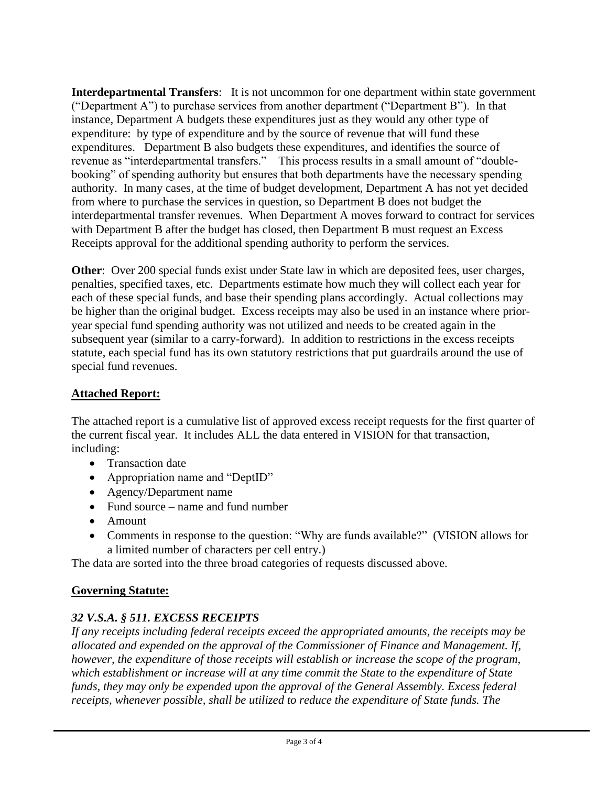**Interdepartmental Transfers**: It is not uncommon for one department within state government ("Department A") to purchase services from another department ("Department B"). In that instance, Department A budgets these expenditures just as they would any other type of expenditure: by type of expenditure and by the source of revenue that will fund these expenditures. Department B also budgets these expenditures, and identifies the source of revenue as "interdepartmental transfers." This process results in a small amount of "doublebooking" of spending authority but ensures that both departments have the necessary spending authority. In many cases, at the time of budget development, Department A has not yet decided from where to purchase the services in question, so Department B does not budget the interdepartmental transfer revenues. When Department A moves forward to contract for services with Department B after the budget has closed, then Department B must request an Excess Receipts approval for the additional spending authority to perform the services.

**Other**: Over 200 special funds exist under State law in which are deposited fees, user charges, penalties, specified taxes, etc. Departments estimate how much they will collect each year for each of these special funds, and base their spending plans accordingly. Actual collections may be higher than the original budget. Excess receipts may also be used in an instance where prioryear special fund spending authority was not utilized and needs to be created again in the subsequent year (similar to a carry-forward). In addition to restrictions in the excess receipts statute, each special fund has its own statutory restrictions that put guardrails around the use of special fund revenues.

### **Attached Report:**

The attached report is a cumulative list of approved excess receipt requests for the first quarter of the current fiscal year. It includes ALL the data entered in VISION for that transaction, including:

- Transaction date
- Appropriation name and "DeptID"
- Agency/Department name
- Fund source name and fund number
- Amount
- Comments in response to the question: "Why are funds available?" (VISION allows for a limited number of characters per cell entry.)

The data are sorted into the three broad categories of requests discussed above.

## **Governing Statute:**

## *32 V.S.A. § 511. EXCESS RECEIPTS*

*If any receipts including federal receipts exceed the appropriated amounts, the receipts may be allocated and expended on the approval of the Commissioner of Finance and Management. If, however, the expenditure of those receipts will establish or increase the scope of the program, which establishment or increase will at any time commit the State to the expenditure of State funds, they may only be expended upon the approval of the General Assembly. Excess federal receipts, whenever possible, shall be utilized to reduce the expenditure of State funds. The*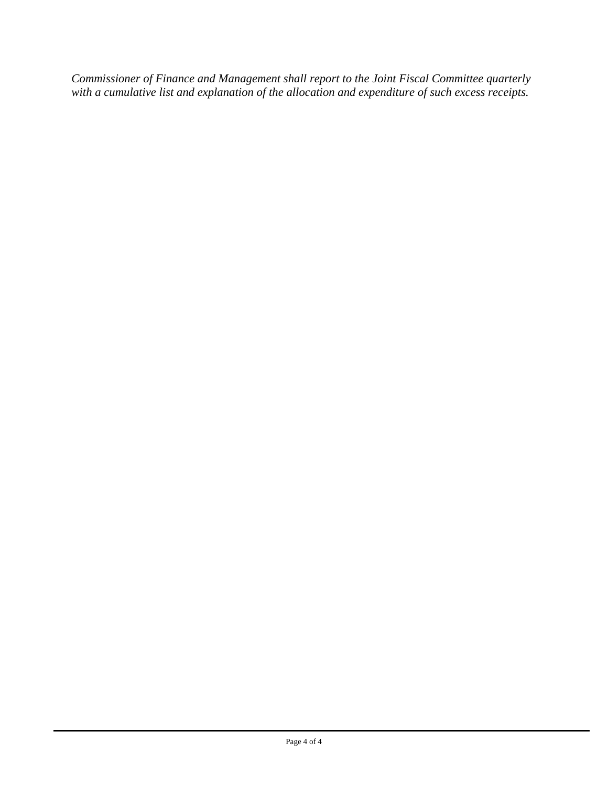*Commissioner of Finance and Management shall report to the Joint Fiscal Committee quarterly with a cumulative list and explanation of the allocation and expenditure of such excess receipts.*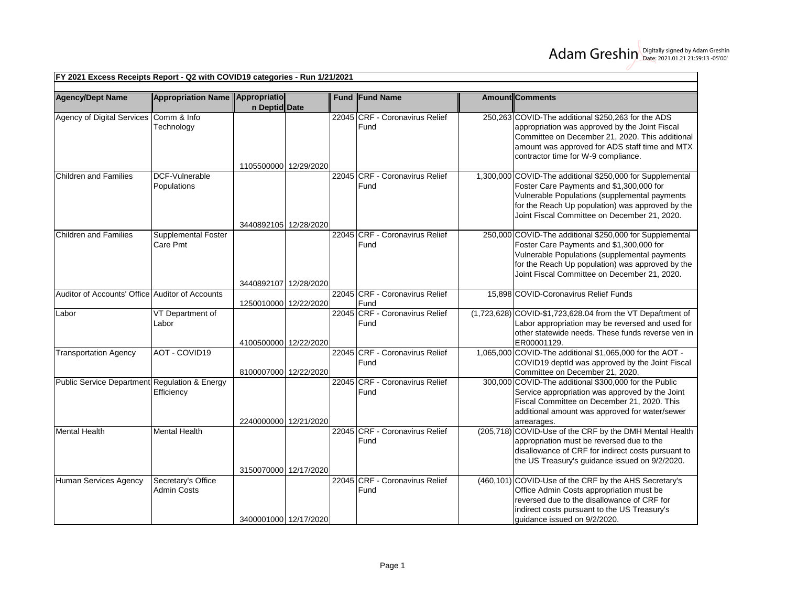| <b>Agency/Dept Name</b>                         | Appropriation Name Appropriatio        |                       |  | <b>Fund Fund Name</b>                  | <b>AmountlComments</b>                                                                                                                                                                                                                                     |
|-------------------------------------------------|----------------------------------------|-----------------------|--|----------------------------------------|------------------------------------------------------------------------------------------------------------------------------------------------------------------------------------------------------------------------------------------------------------|
|                                                 |                                        | n Deptid Date         |  |                                        |                                                                                                                                                                                                                                                            |
| Agency of Digital Services Comm & Info          | Technology                             | 1105500000 12/29/2020 |  | 22045 CRF - Coronavirus Relief<br>Fund | 250,263 COVID-The additional \$250,263 for the ADS<br>appropriation was approved by the Joint Fiscal<br>Committee on December 21, 2020. This additional<br>amount was approved for ADS staff time and MTX<br>contractor time for W-9 compliance.           |
| <b>Children and Families</b>                    | DCF-Vulnerable<br>Populations          | 3440892105 12/28/2020 |  | 22045 CRF - Coronavirus Relief<br>Fund | 1,300,000 COVID-The additional \$250,000 for Supplemental<br>Foster Care Payments and \$1,300,000 for<br>Vulnerable Populations (supplemental payments<br>for the Reach Up population) was approved by the<br>Joint Fiscal Committee on December 21, 2020. |
| <b>Children and Families</b>                    | <b>Supplemental Foster</b><br>Care Pmt | 3440892107 12/28/2020 |  | 22045 CRF - Coronavirus Relief<br>Fund | 250,000 COVID-The additional \$250,000 for Supplemental<br>Foster Care Payments and \$1,300,000 for<br>Vulnerable Populations (supplemental payments<br>for the Reach Up population) was approved by the<br>Joint Fiscal Committee on December 21, 2020.   |
| Auditor of Accounts' Office Auditor of Accounts |                                        | 1250010000 12/22/2020 |  | 22045 CRF - Coronavirus Relief<br>Fund | 15,898 COVID-Coronavirus Relief Funds                                                                                                                                                                                                                      |
| Labor                                           | VT Department of<br>Labor              | 4100500000 12/22/2020 |  | 22045 CRF - Coronavirus Relief<br>Fund | (1,723,628) COVID-\$1,723,628.04 from the VT Depaftment of<br>Labor appropriation may be reversed and used for<br>other statewide needs. These funds reverse ven in<br>ER00001129.                                                                         |
| <b>Transportation Agency</b>                    | AOT - COVID19                          | 8100007000 12/22/2020 |  | 22045 CRF - Coronavirus Relief<br>Fund | 1,065,000 COVID-The additional \$1,065,000 for the AOT -<br>COVID19 deptId was approved by the Joint Fiscal<br>Committee on December 21, 2020.                                                                                                             |
| Public Service Department Regulation & Energy   | Efficiency                             | 2240000000 12/21/2020 |  | 22045 CRF - Coronavirus Relief<br>Fund | 300,000 COVID-The additional \$300,000 for the Public<br>Service appropriation was approved by the Joint<br>Fiscal Committee on December 21, 2020. This<br>additional amount was approved for water/sewer<br>arrearages.                                   |
| <b>Mental Health</b>                            | <b>Mental Health</b>                   | 3150070000 12/17/2020 |  | 22045 CRF - Coronavirus Relief<br>Fund | (205,718) COVID-Use of the CRF by the DMH Mental Health<br>appropriation must be reversed due to the<br>disallowance of CRF for indirect costs pursuant to<br>the US Treasury's guidance issued on 9/2/2020.                                               |
| Human Services Agency                           | Secretary's Office<br>Admin Costs      | 3400001000 12/17/2020 |  | 22045 CRF - Coronavirus Relief<br>Fund | (460,101) COVID-Use of the CRF by the AHS Secretary's<br>Office Admin Costs appropriation must be<br>reversed due to the disallowance of CRF for<br>indirect costs pursuant to the US Treasury's<br>guidance issued on 9/2/2020.                           |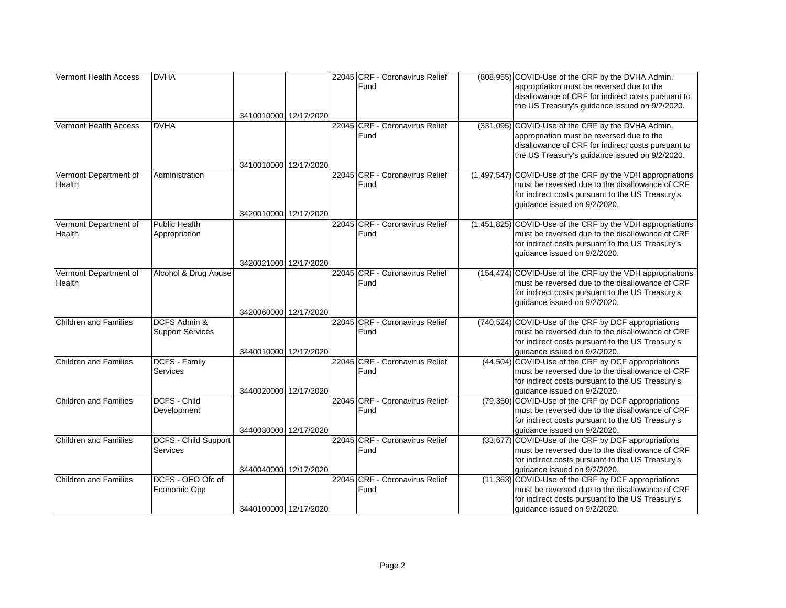| Vermont Health Access        | <b>DVHA</b>             |                       |  | 22045 CRF - Coronavirus Relief | (808,955) COVID-Use of the CRF by the DVHA Admin.          |
|------------------------------|-------------------------|-----------------------|--|--------------------------------|------------------------------------------------------------|
|                              |                         |                       |  | Fund                           | appropriation must be reversed due to the                  |
|                              |                         |                       |  |                                | disallowance of CRF for indirect costs pursuant to         |
|                              |                         |                       |  |                                | the US Treasury's guidance issued on 9/2/2020.             |
|                              |                         | 3410010000 12/17/2020 |  |                                |                                                            |
| Vermont Health Access        | <b>DVHA</b>             |                       |  | 22045 CRF - Coronavirus Relief | (331,095) COVID-Use of the CRF by the DVHA Admin.          |
|                              |                         |                       |  | Fund                           | appropriation must be reversed due to the                  |
|                              |                         |                       |  |                                | disallowance of CRF for indirect costs pursuant to         |
|                              |                         |                       |  |                                | the US Treasury's guidance issued on 9/2/2020.             |
|                              |                         | 3410010000 12/17/2020 |  |                                |                                                            |
| Vermont Department of        | Administration          |                       |  | 22045 CRF - Coronavirus Relief | (1,497,547) COVID-Use of the CRF by the VDH appropriations |
| Health                       |                         |                       |  | Fund                           | must be reversed due to the disallowance of CRF            |
|                              |                         |                       |  |                                | for indirect costs pursuant to the US Treasury's           |
|                              |                         |                       |  |                                | guidance issued on 9/2/2020.                               |
|                              |                         | 3420010000 12/17/2020 |  |                                |                                                            |
| Vermont Department of        | <b>Public Health</b>    |                       |  | 22045 CRF - Coronavirus Relief | (1,451,825) COVID-Use of the CRF by the VDH appropriations |
| Health                       | Appropriation           |                       |  | Fund                           | must be reversed due to the disallowance of CRF            |
|                              |                         |                       |  |                                | for indirect costs pursuant to the US Treasury's           |
|                              |                         |                       |  |                                | guidance issued on 9/2/2020.                               |
|                              |                         | 3420021000 12/17/2020 |  |                                |                                                            |
| Vermont Department of        | Alcohol & Drug Abuse    |                       |  | 22045 CRF - Coronavirus Relief | (154,474) COVID-Use of the CRF by the VDH appropriations   |
| Health                       |                         |                       |  | Fund                           | must be reversed due to the disallowance of CRF            |
|                              |                         |                       |  |                                | for indirect costs pursuant to the US Treasury's           |
|                              |                         |                       |  |                                | guidance issued on 9/2/2020.                               |
|                              |                         | 3420060000 12/17/2020 |  |                                |                                                            |
| <b>Children and Families</b> | DCFS Admin &            |                       |  | 22045 CRF - Coronavirus Relief | (740,524) COVID-Use of the CRF by DCF appropriations       |
|                              | <b>Support Services</b> |                       |  | Fund                           | must be reversed due to the disallowance of CRF            |
|                              |                         |                       |  |                                | for indirect costs pursuant to the US Treasury's           |
|                              |                         | 3440010000 12/17/2020 |  |                                | guidance issued on 9/2/2020.                               |
| Children and Families        | DCFS - Family           |                       |  | 22045 CRF - Coronavirus Relief | (44,504) COVID-Use of the CRF by DCF appropriations        |
|                              | <b>Services</b>         |                       |  | Fund                           | must be reversed due to the disallowance of CRF            |
|                              |                         |                       |  |                                | for indirect costs pursuant to the US Treasury's           |
|                              |                         | 3440020000 12/17/2020 |  |                                | quidance issued on 9/2/2020.                               |
| Children and Families        | <b>DCFS - Child</b>     |                       |  | 22045 CRF - Coronavirus Relief | (79,350) COVID-Use of the CRF by DCF appropriations        |
|                              | Development             |                       |  | Fund                           | must be reversed due to the disallowance of CRF            |
|                              |                         |                       |  |                                | for indirect costs pursuant to the US Treasury's           |
|                              |                         | 3440030000 12/17/2020 |  |                                | guidance issued on 9/2/2020.                               |
| Children and Families        | DCFS - Child Support    |                       |  | 22045 CRF - Coronavirus Relief | (33,677) COVID-Use of the CRF by DCF appropriations        |
|                              | <b>Services</b>         |                       |  | Fund                           | must be reversed due to the disallowance of CRF            |
|                              |                         |                       |  |                                | for indirect costs pursuant to the US Treasury's           |
|                              |                         | 3440040000 12/17/2020 |  |                                | guidance issued on 9/2/2020.                               |
| <b>Children and Families</b> | DCFS - OEO Ofc of       |                       |  | 22045 CRF - Coronavirus Relief | (11,363) COVID-Use of the CRF by DCF appropriations        |
|                              | Economic Opp            |                       |  | Fund                           | must be reversed due to the disallowance of CRF            |
|                              |                         |                       |  |                                | for indirect costs pursuant to the US Treasury's           |
|                              |                         | 3440100000 12/17/2020 |  |                                | guidance issued on 9/2/2020.                               |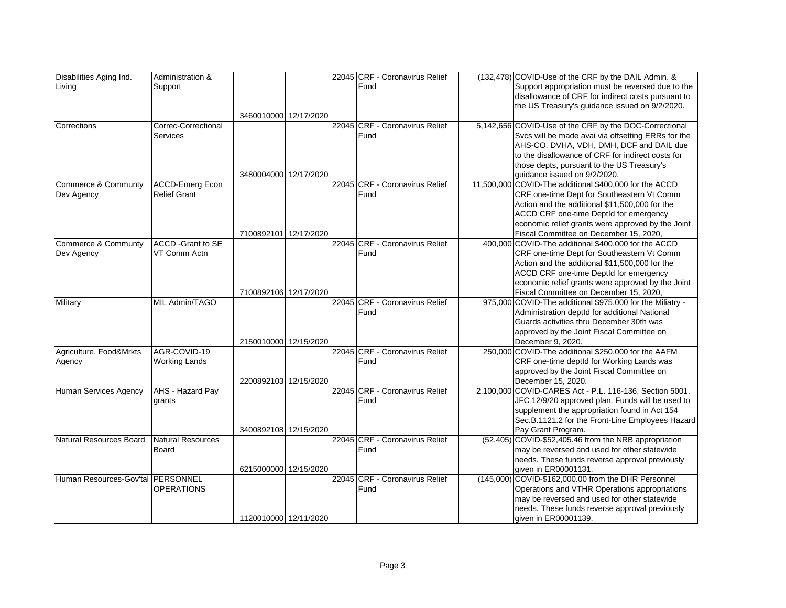| Disabilities Aging Ind.                  | Administration &          |                       |  | 22045 CRF - Coronavirus Relief | (132,478) COVID-Use of the CRF by the DAIL Admin. &       |
|------------------------------------------|---------------------------|-----------------------|--|--------------------------------|-----------------------------------------------------------|
| Living                                   | Support                   |                       |  | Fund                           | Support appropriation must be reversed due to the         |
|                                          |                           |                       |  |                                | disallowance of CRF for indirect costs pursuant to        |
|                                          |                           |                       |  |                                | the US Treasury's guidance issued on 9/2/2020.            |
|                                          |                           | 3460010000 12/17/2020 |  |                                |                                                           |
| Corrections                              | Correc-Correctional       |                       |  | 22045 CRF - Coronavirus Relief | 5,142,656 COVID-Use of the CRF by the DOC-Correctional    |
|                                          | Services                  |                       |  | Fund                           | Svcs will be made avai via offsetting ERRs for the        |
|                                          |                           |                       |  |                                | AHS-CO, DVHA, VDH, DMH, DCF and DAIL due                  |
|                                          |                           |                       |  |                                | to the disallowance of CRF for indirect costs for         |
|                                          |                           |                       |  |                                | those depts, pursuant to the US Treasury's                |
|                                          |                           | 3480004000 12/17/2020 |  |                                | guidance issued on 9/2/2020.                              |
| Commerce & Communty                      | <b>ACCD-Emerg Econ</b>    |                       |  | 22045 CRF - Coronavirus Relief | 11,500,000 COVID-The additional \$400,000 for the ACCD    |
| Dev Agency                               | <b>Relief Grant</b>       |                       |  | Fund                           | CRF one-time Dept for Southeastern Vt Comm                |
|                                          |                           |                       |  |                                | Action and the additional \$11,500,000 for the            |
|                                          |                           |                       |  |                                | ACCD CRF one-time DeptId for emergency                    |
|                                          |                           |                       |  |                                | economic relief grants were approved by the Joint         |
|                                          |                           | 7100892101 12/17/2020 |  |                                | Fiscal Committee on December 15, 2020,                    |
| Commerce & Communty                      | <b>ACCD</b> - Grant to SE |                       |  | 22045 CRF - Coronavirus Relief | 400,000 COVID-The additional \$400,000 for the ACCD       |
| Dev Agency                               | VT Comm Actn              |                       |  | Fund                           | CRF one-time Dept for Southeastern Vt Comm                |
|                                          |                           |                       |  |                                | Action and the additional \$11,500,000 for the            |
|                                          |                           |                       |  |                                | ACCD CRF one-time DeptId for emergency                    |
|                                          |                           |                       |  |                                | economic relief grants were approved by the Joint         |
|                                          |                           | 7100892106 12/17/2020 |  |                                | Fiscal Committee on December 15, 2020,                    |
| Military                                 | MIL Admin/TAGO            |                       |  | 22045 CRF - Coronavirus Relief | 975,000 COVID-The additional \$975,000 for the Miliatry - |
|                                          |                           |                       |  | Fund                           | Administration deptId for additional National             |
|                                          |                           |                       |  |                                | Guards activities thru December 30th was                  |
|                                          |                           |                       |  |                                | approved by the Joint Fiscal Committee on                 |
|                                          |                           | 2150010000 12/15/2020 |  |                                | December 9, 2020.                                         |
| Agriculture, Food&Mrkts                  | AGR-COVID-19              |                       |  | 22045 CRF - Coronavirus Relief | 250,000 COVID-The additional \$250,000 for the AAFM       |
| Agency                                   | <b>Working Lands</b>      |                       |  | Fund                           | CRF one-time deptId for Working Lands was                 |
|                                          |                           |                       |  |                                | approved by the Joint Fiscal Committee on                 |
|                                          |                           | 2200892103 12/15/2020 |  |                                | December 15, 2020.                                        |
| Human Services Agency                    | AHS - Hazard Pay          |                       |  | 22045 CRF - Coronavirus Relief | 2,100,000 COVID-CARES Act - P.L. 116-136, Section 5001.   |
|                                          | grants                    |                       |  | Fund                           | JFC 12/9/20 approved plan. Funds will be used to          |
|                                          |                           |                       |  |                                | supplement the appropriation found in Act 154             |
|                                          |                           |                       |  |                                | Sec.B.1121.2 for the Front-Line Employees Hazard          |
|                                          |                           | 3400892108 12/15/2020 |  |                                | Pay Grant Program.                                        |
| Natural Resources Board                  | Natural Resources         |                       |  | 22045 CRF - Coronavirus Relief | (52,405) COVID-\$52,405.46 from the NRB appropriation     |
|                                          | <b>Board</b>              |                       |  | Fund                           | may be reversed and used for other statewide              |
|                                          |                           |                       |  |                                | needs. These funds reverse approval previously            |
|                                          |                           | 6215000000 12/15/2020 |  |                                | given in ER00001131.                                      |
| Human Resources-Gov'tal <b>PERSONNEL</b> |                           |                       |  | 22045 CRF - Coronavirus Relief | (145,000) COVID-\$162,000.00 from the DHR Personnel       |
|                                          | <b>OPERATIONS</b>         |                       |  | Fund                           | Operations and VTHR Operations appropriations             |
|                                          |                           |                       |  |                                | may be reversed and used for other statewide              |
|                                          |                           |                       |  |                                | needs. These funds reverse approval previously            |
|                                          |                           | 1120010000 12/11/2020 |  |                                | given in ER00001139.                                      |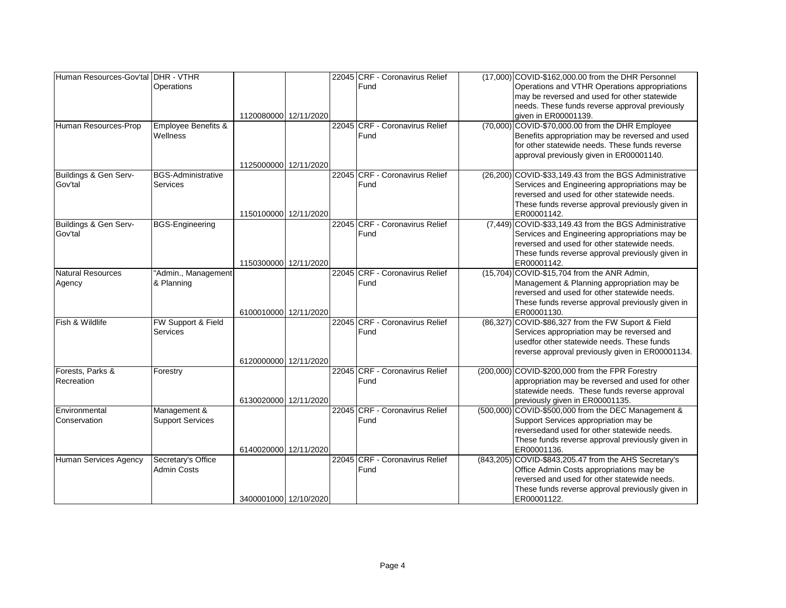| Human Resources-Gov'tal DHR - VTHR |                                |                       |  | 22045 CRF - Coronavirus Relief | (17,000) COVID-\$162,000.00 from the DHR Personnel                                             |
|------------------------------------|--------------------------------|-----------------------|--|--------------------------------|------------------------------------------------------------------------------------------------|
|                                    | Operations                     |                       |  | Fund                           | Operations and VTHR Operations appropriations                                                  |
|                                    |                                |                       |  |                                | may be reversed and used for other statewide                                                   |
|                                    |                                |                       |  |                                | needs. These funds reverse approval previously                                                 |
|                                    |                                | 1120080000 12/11/2020 |  |                                | given in ER00001139.                                                                           |
| Human Resources-Prop               | <b>Employee Benefits &amp;</b> |                       |  | 22045 CRF - Coronavirus Relief | (70,000) COVID-\$70,000.00 from the DHR Employee                                               |
|                                    | Wellness                       |                       |  | Fund                           | Benefits appropriation may be reversed and used                                                |
|                                    |                                |                       |  |                                | for other statewide needs. These funds reverse                                                 |
|                                    |                                |                       |  |                                | approval previously given in ER00001140.                                                       |
|                                    | <b>BGS-Administrative</b>      | 1125000000 12/11/2020 |  | 22045 CRF - Coronavirus Relief |                                                                                                |
| Buildings & Gen Serv-<br>Gov'tal   | Services                       |                       |  | Fund                           | (26,200) COVID-\$33,149.43 from the BGS Administrative                                         |
|                                    |                                |                       |  |                                | Services and Engineering appropriations may be<br>reversed and used for other statewide needs. |
|                                    |                                |                       |  |                                | These funds reverse approval previously given in                                               |
|                                    |                                | 1150100000 12/11/2020 |  |                                | ER00001142.                                                                                    |
| Buildings & Gen Serv-              | <b>BGS-Engineering</b>         |                       |  | 22045 CRF - Coronavirus Relief | (7,449) COVID-\$33,149.43 from the BGS Administrative                                          |
| Gov'tal                            |                                |                       |  | Fund                           | Services and Engineering appropriations may be                                                 |
|                                    |                                |                       |  |                                | reversed and used for other statewide needs.                                                   |
|                                    |                                |                       |  |                                | These funds reverse approval previously given in                                               |
|                                    |                                | 1150300000 12/11/2020 |  |                                | ER00001142.                                                                                    |
| Natural Resources                  | "Admin., Management            |                       |  | 22045 CRF - Coronavirus Relief | (15,704) COVID-\$15,704 from the ANR Admin,                                                    |
| Agency                             | & Planning                     |                       |  | Fund                           | Management & Planning appropriation may be                                                     |
|                                    |                                |                       |  |                                | reversed and used for other statewide needs.                                                   |
|                                    |                                |                       |  |                                | These funds reverse approval previously given in                                               |
|                                    |                                | 6100010000 12/11/2020 |  |                                | ER00001130.                                                                                    |
| Fish & Wildlife                    | FW Support & Field             |                       |  | 22045 CRF - Coronavirus Relief | (86,327) COVID-\$86,327 from the FW Suport & Field                                             |
|                                    | Services                       |                       |  | Fund                           | Services appropriation may be reversed and                                                     |
|                                    |                                |                       |  |                                | usedfor other statewide needs. These funds                                                     |
|                                    |                                |                       |  |                                | reverse approval previously given in ER00001134.                                               |
|                                    |                                | 6120000000 12/11/2020 |  |                                |                                                                                                |
| Forests, Parks &                   | Forestry                       |                       |  | 22045 CRF - Coronavirus Relief | (200,000) COVID-\$200,000 from the FPR Forestry                                                |
| Recreation                         |                                |                       |  | Fund                           | appropriation may be reversed and used for other                                               |
|                                    |                                | 6130020000 12/11/2020 |  |                                | statewide needs. These funds reverse approval                                                  |
| Environmental                      | Management &                   |                       |  | 22045 CRF - Coronavirus Relief | previously given in ER00001135.<br>(500,000) COVID-\$500,000 from the DEC Management &         |
| Conservation                       | <b>Support Services</b>        |                       |  | Fund                           | Support Services appropriation may be                                                          |
|                                    |                                |                       |  |                                | reversedand used for other statewide needs.                                                    |
|                                    |                                |                       |  |                                | These funds reverse approval previously given in                                               |
|                                    |                                | 6140020000 12/11/2020 |  |                                | ER00001136.                                                                                    |
| Human Services Agency              | Secretary's Office             |                       |  | 22045 CRF - Coronavirus Relief | (843,205) COVID-\$843,205.47 from the AHS Secretary's                                          |
|                                    | <b>Admin Costs</b>             |                       |  | Fund                           | Office Admin Costs appropriations may be                                                       |
|                                    |                                |                       |  |                                | reversed and used for other statewide needs.                                                   |
|                                    |                                |                       |  |                                | These funds reverse approval previously given in                                               |
|                                    |                                | 3400001000 12/10/2020 |  |                                | ER00001122.                                                                                    |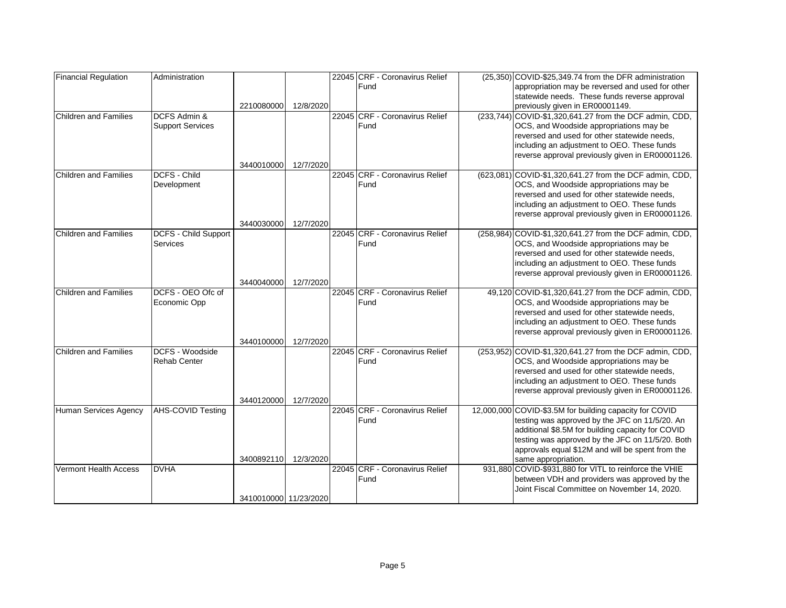| <b>Financial Regulation</b>  | Administration           |                       |           | 22045 CRF - Coronavirus Relief | (25,350) COVID-\$25,349.74 from the DFR administration                                          |
|------------------------------|--------------------------|-----------------------|-----------|--------------------------------|-------------------------------------------------------------------------------------------------|
|                              |                          |                       |           | Fund                           | appropriation may be reversed and used for other                                                |
|                              |                          |                       |           |                                | statewide needs. These funds reverse approval                                                   |
|                              |                          | 2210080000            | 12/8/2020 |                                | previously given in ER00001149.                                                                 |
| <b>Children and Families</b> | <b>DCFS Admin &amp;</b>  |                       |           | 22045 CRF - Coronavirus Relief | (233,744) COVID-\$1,320,641.27 from the DCF admin, CDD,                                         |
|                              | <b>Support Services</b>  |                       |           | Fund                           | OCS, and Woodside appropriations may be                                                         |
|                              |                          |                       |           |                                | reversed and used for other statewide needs,                                                    |
|                              |                          |                       |           |                                | including an adjustment to OEO. These funds                                                     |
|                              |                          |                       |           |                                | reverse approval previously given in ER00001126.                                                |
|                              |                          | 3440010000            | 12/7/2020 |                                |                                                                                                 |
| <b>Children and Families</b> | <b>DCFS - Child</b>      |                       |           | 22045 CRF - Coronavirus Relief | (623,081) COVID-\$1,320,641.27 from the DCF admin, CDD,                                         |
|                              | Development              |                       |           | Fund                           | OCS, and Woodside appropriations may be                                                         |
|                              |                          |                       |           |                                | reversed and used for other statewide needs,<br>including an adjustment to OEO. These funds     |
|                              |                          |                       |           |                                | reverse approval previously given in ER00001126.                                                |
|                              |                          | 3440030000            | 12/7/2020 |                                |                                                                                                 |
| <b>Children and Families</b> | DCFS - Child Support     |                       |           | 22045 CRF - Coronavirus Relief | (258,984) COVID-\$1,320,641.27 from the DCF admin, CDD,                                         |
|                              | Services                 |                       |           | Fund                           | OCS, and Woodside appropriations may be                                                         |
|                              |                          |                       |           |                                | reversed and used for other statewide needs.                                                    |
|                              |                          |                       |           |                                | including an adjustment to OEO. These funds                                                     |
|                              |                          |                       |           |                                | reverse approval previously given in ER00001126.                                                |
|                              |                          | 3440040000            | 12/7/2020 |                                |                                                                                                 |
| <b>Children and Families</b> | DCFS - OEO Ofc of        |                       |           | 22045 CRF - Coronavirus Relief | 49,120 COVID-\$1,320,641.27 from the DCF admin, CDD,                                            |
|                              | Economic Opp             |                       |           | Fund                           | OCS, and Woodside appropriations may be                                                         |
|                              |                          |                       |           |                                | reversed and used for other statewide needs,                                                    |
|                              |                          |                       |           |                                | including an adjustment to OEO. These funds                                                     |
|                              |                          |                       |           |                                | reverse approval previously given in ER00001126.                                                |
|                              |                          | 3440100000            | 12/7/2020 |                                |                                                                                                 |
| <b>Children and Families</b> | DCFS - Woodside          |                       |           | 22045 CRF - Coronavirus Relief | (253,952) COVID-\$1,320,641.27 from the DCF admin, CDD,                                         |
|                              | <b>Rehab Center</b>      |                       |           | Fund                           | OCS, and Woodside appropriations may be                                                         |
|                              |                          |                       |           |                                | reversed and used for other statewide needs,                                                    |
|                              |                          |                       |           |                                | including an adjustment to OEO. These funds<br>reverse approval previously given in ER00001126. |
|                              |                          | 3440120000            | 12/7/2020 |                                |                                                                                                 |
| <b>Human Services Agency</b> | <b>AHS-COVID Testing</b> |                       |           | 22045 CRF - Coronavirus Relief | 12,000,000 COVID-\$3.5M for building capacity for COVID                                         |
|                              |                          |                       |           | Fund                           | testing was approved by the JFC on 11/5/20. An                                                  |
|                              |                          |                       |           |                                | additional \$8.5M for building capacity for COVID                                               |
|                              |                          |                       |           |                                | testing was approved by the JFC on 11/5/20. Both                                                |
|                              |                          |                       |           |                                | approvals equal \$12M and will be spent from the                                                |
|                              |                          | 3400892110            | 12/3/2020 |                                | same appropriation.                                                                             |
| Vermont Health Access        | <b>DVHA</b>              |                       |           | 22045 CRF - Coronavirus Relief | 931,880 COVID-\$931,880 for VITL to reinforce the VHIE                                          |
|                              |                          |                       |           | Fund                           | between VDH and providers was approved by the                                                   |
|                              |                          |                       |           |                                | Joint Fiscal Committee on November 14, 2020.                                                    |
|                              |                          | 3410010000 11/23/2020 |           |                                |                                                                                                 |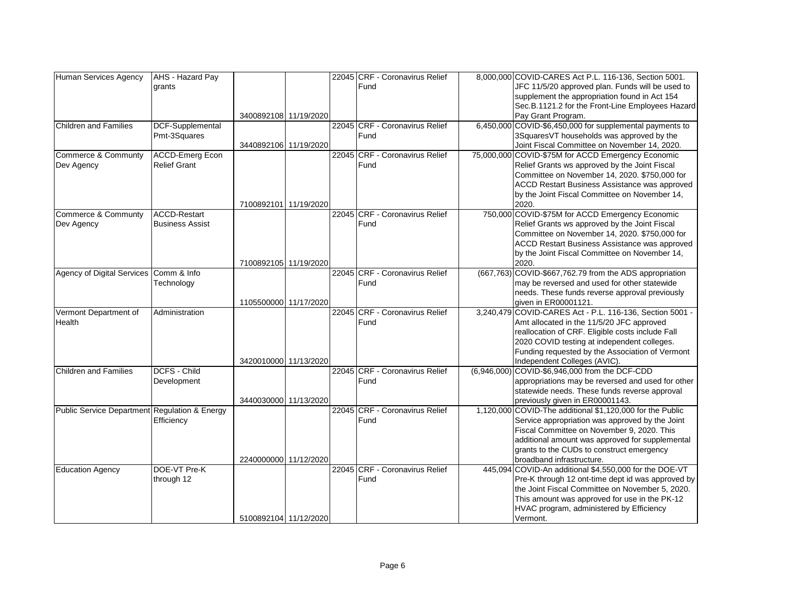| Human Services Agency                         | AHS - Hazard Pay       |                       |  | 22045 CRF - Coronavirus Relief         | 8,000,000 COVID-CARES Act P.L. 116-136, Section 5001.                                         |
|-----------------------------------------------|------------------------|-----------------------|--|----------------------------------------|-----------------------------------------------------------------------------------------------|
|                                               | grants                 |                       |  | Fund                                   | JFC 11/5/20 approved plan. Funds will be used to                                              |
|                                               |                        |                       |  |                                        | supplement the appropriation found in Act 154                                                 |
|                                               |                        |                       |  |                                        | Sec.B.1121.2 for the Front-Line Employees Hazard                                              |
|                                               |                        | 3400892108 11/19/2020 |  |                                        | Pay Grant Program.                                                                            |
| <b>Children and Families</b>                  | DCF-Supplemental       |                       |  | 22045 CRF - Coronavirus Relief         | 6,450,000 COVID-\$6,450,000 for supplemental payments to                                      |
|                                               | Pmt-3Squares           |                       |  | Fund                                   | 3SquaresVT households was approved by the                                                     |
|                                               |                        | 3440892106 11/19/2020 |  |                                        | Joint Fiscal Committee on November 14, 2020.                                                  |
| Commerce & Communty                           | <b>ACCD-Emerg Econ</b> |                       |  | 22045 CRF - Coronavirus Relief         | 75,000,000 COVID-\$75M for ACCD Emergency Economic                                            |
| Dev Agency                                    | <b>Relief Grant</b>    |                       |  | Fund                                   | Relief Grants ws approved by the Joint Fiscal                                                 |
|                                               |                        |                       |  |                                        | Committee on November 14, 2020. \$750,000 for                                                 |
|                                               |                        |                       |  |                                        | ACCD Restart Business Assistance was approved                                                 |
|                                               |                        |                       |  |                                        | by the Joint Fiscal Committee on November 14,                                                 |
|                                               |                        | 7100892101 11/19/2020 |  |                                        | 2020.                                                                                         |
| Commerce & Communty                           | <b>ACCD-Restart</b>    |                       |  | 22045 CRF - Coronavirus Relief         | 750,000 COVID-\$75M for ACCD Emergency Economic                                               |
| Dev Agency                                    | <b>Business Assist</b> |                       |  | Fund                                   | Relief Grants ws approved by the Joint Fiscal                                                 |
|                                               |                        |                       |  |                                        | Committee on November 14, 2020. \$750,000 for                                                 |
|                                               |                        |                       |  |                                        | ACCD Restart Business Assistance was approved                                                 |
|                                               |                        |                       |  |                                        | by the Joint Fiscal Committee on November 14,                                                 |
|                                               |                        | 7100892105 11/19/2020 |  |                                        | 2020.                                                                                         |
| Agency of Digital Services Comm & Info        |                        |                       |  | 22045 CRF - Coronavirus Relief         | (667,763) COVID-\$667,762.79 from the ADS appropriation                                       |
|                                               | Technology             |                       |  | Fund                                   | may be reversed and used for other statewide                                                  |
|                                               |                        |                       |  |                                        | needs. These funds reverse approval previously                                                |
|                                               |                        | 1105500000 11/17/2020 |  |                                        | given in ER00001121.                                                                          |
| Vermont Department of                         | Administration         |                       |  | 22045 CRF - Coronavirus Relief         | 3,240,479 COVID-CARES Act - P.L. 116-136, Section 5001 -                                      |
| Health                                        |                        |                       |  | Fund                                   | Amt allocated in the 11/5/20 JFC approved                                                     |
|                                               |                        |                       |  |                                        | reallocation of CRF. Eligible costs include Fall                                              |
|                                               |                        |                       |  |                                        | 2020 COVID testing at independent colleges.                                                   |
|                                               |                        |                       |  |                                        | Funding requested by the Association of Vermont                                               |
|                                               |                        | 3420010000 11/13/2020 |  |                                        | Independent Colleges (AVIC).                                                                  |
| <b>Children and Families</b>                  | <b>DCFS - Child</b>    |                       |  | 22045 CRF - Coronavirus Relief         | (6,946,000) COVID-\$6,946,000 from the DCF-CDD                                                |
|                                               | Development            |                       |  | Fund                                   | appropriations may be reversed and used for other                                             |
|                                               |                        |                       |  |                                        | statewide needs. These funds reverse approval                                                 |
|                                               |                        | 3440030000 11/13/2020 |  |                                        | previously given in ER00001143.                                                               |
| Public Service Department Regulation & Energy |                        |                       |  | 22045 CRF - Coronavirus Relief<br>Fund | 1,120,000 COVID-The additional \$1,120,000 for the Public                                     |
|                                               | Efficiency             |                       |  |                                        | Service appropriation was approved by the Joint<br>Fiscal Committee on November 9, 2020. This |
|                                               |                        |                       |  |                                        | additional amount was approved for supplemental                                               |
|                                               |                        |                       |  |                                        | grants to the CUDs to construct emergency                                                     |
|                                               |                        | 2240000000 11/12/2020 |  |                                        | broadband infrastructure.                                                                     |
| Education Agency                              | DOE-VT Pre-K           |                       |  | 22045 CRF - Coronavirus Relief         | 445,094 COVID-An additional \$4,550,000 for the DOE-VT                                        |
|                                               | through 12             |                       |  | Fund                                   | Pre-K through 12 ont-time dept id was approved by                                             |
|                                               |                        |                       |  |                                        | the Joint Fiscal Committee on November 5, 2020.                                               |
|                                               |                        |                       |  |                                        | This amount was approved for use in the PK-12                                                 |
|                                               |                        |                       |  |                                        | HVAC program, administered by Efficiency                                                      |
|                                               |                        | 5100892104 11/12/2020 |  |                                        | Vermont.                                                                                      |
|                                               |                        |                       |  |                                        |                                                                                               |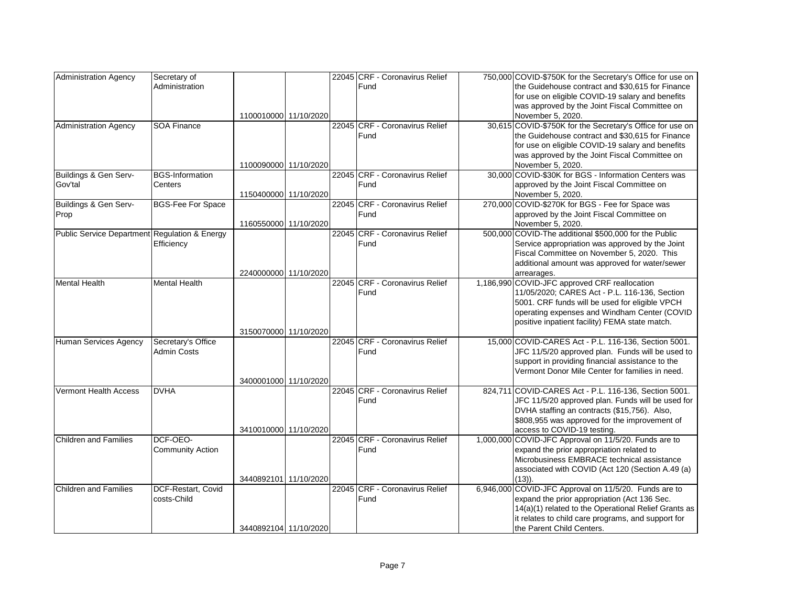| <b>Administration Agency</b>                  | Secretary of             |                       |  | 22045 CRF - Coronavirus Relief | 750,000 COVID-\$750K for the Secretary's Office for use on   |
|-----------------------------------------------|--------------------------|-----------------------|--|--------------------------------|--------------------------------------------------------------|
|                                               | Administration           |                       |  | Fund                           | the Guidehouse contract and \$30,615 for Finance             |
|                                               |                          |                       |  |                                | for use on eligible COVID-19 salary and benefits             |
|                                               |                          |                       |  |                                | was approved by the Joint Fiscal Committee on                |
|                                               |                          | 1100010000 11/10/2020 |  |                                | November 5, 2020.                                            |
| <b>Administration Agency</b>                  | <b>SOA Finance</b>       |                       |  | 22045 CRF - Coronavirus Relief | 30,615 COVID-\$750K for the Secretary's Office for use on    |
|                                               |                          |                       |  | Fund                           | the Guidehouse contract and \$30,615 for Finance             |
|                                               |                          |                       |  |                                | for use on eligible COVID-19 salary and benefits             |
|                                               |                          |                       |  |                                | was approved by the Joint Fiscal Committee on                |
|                                               |                          | 1100090000 11/10/2020 |  |                                | November 5, 2020.                                            |
| Buildings & Gen Serv-                         | <b>BGS-Information</b>   |                       |  | 22045 CRF - Coronavirus Relief | 30,000 COVID-\$30K for BGS - Information Centers was         |
| Gov'tal                                       | Centers                  |                       |  | Fund                           | approved by the Joint Fiscal Committee on                    |
|                                               |                          | 1150400000 11/10/2020 |  |                                | November 5, 2020.                                            |
| Buildings & Gen Serv-                         | <b>BGS-Fee For Space</b> |                       |  | 22045 CRF - Coronavirus Relief | 270,000 COVID-\$270K for BGS - Fee for Space was             |
| Prop                                          |                          |                       |  | Fund                           | approved by the Joint Fiscal Committee on                    |
|                                               |                          | 1160550000 11/10/2020 |  |                                | November 5, 2020.                                            |
| Public Service Department Regulation & Energy |                          |                       |  | 22045 CRF - Coronavirus Relief | 500,000 COVID-The additional \$500,000 for the Public        |
|                                               | Efficiency               |                       |  | Fund                           | Service appropriation was approved by the Joint              |
|                                               |                          |                       |  |                                | Fiscal Committee on November 5, 2020. This                   |
|                                               |                          |                       |  |                                |                                                              |
|                                               |                          | 2240000000 11/10/2020 |  |                                | additional amount was approved for water/sewer               |
|                                               |                          |                       |  | 22045 CRF - Coronavirus Relief | arrearages.<br>1,186,990 COVID-JFC approved CRF reallocation |
| <b>Mental Health</b>                          | <b>Mental Health</b>     |                       |  |                                |                                                              |
|                                               |                          |                       |  | Fund                           | 11/05/2020; CARES Act - P.L. 116-136, Section                |
|                                               |                          |                       |  |                                | 5001. CRF funds will be used for eligible VPCH               |
|                                               |                          |                       |  |                                | operating expenses and Windham Center (COVID                 |
|                                               |                          |                       |  |                                | positive inpatient facility) FEMA state match.               |
|                                               |                          | 3150070000 11/10/2020 |  |                                | 15,000 COVID-CARES Act - P.L. 116-136, Section 5001.         |
| Human Services Agency                         | Secretary's Office       |                       |  | 22045 CRF - Coronavirus Relief |                                                              |
|                                               | <b>Admin Costs</b>       |                       |  | Fund                           | JFC 11/5/20 approved plan. Funds will be used to             |
|                                               |                          |                       |  |                                | support in providing financial assistance to the             |
|                                               |                          |                       |  |                                | Vermont Donor Mile Center for families in need.              |
|                                               |                          | 3400001000 11/10/2020 |  |                                |                                                              |
| <b>Vermont Health Access</b>                  | <b>DVHA</b>              |                       |  | 22045 CRF - Coronavirus Relief | 824,711 COVID-CARES Act - P.L. 116-136, Section 5001.        |
|                                               |                          |                       |  | Fund                           | JFC 11/5/20 approved plan. Funds will be used for            |
|                                               |                          |                       |  |                                | DVHA staffing an contracts (\$15,756). Also,                 |
|                                               |                          |                       |  |                                | \$808,955 was approved for the improvement of                |
|                                               |                          | 3410010000 11/10/2020 |  |                                | access to COVID-19 testing.                                  |
| Children and Families                         | DCF-OEO-                 |                       |  | 22045 CRF - Coronavirus Relief | 1,000,000 COVID-JFC Approval on 11/5/20. Funds are to        |
|                                               | <b>Community Action</b>  |                       |  | Fund                           | expand the prior appropriation related to                    |
|                                               |                          |                       |  |                                | Microbusiness EMBRACE technical assistance                   |
|                                               |                          |                       |  |                                | associated with COVID (Act 120 (Section A.49 (a)             |
|                                               |                          | 3440892101 11/10/2020 |  |                                | $(13)$ ).                                                    |
| Children and Families                         | DCF-Restart, Covid       |                       |  | 22045 CRF - Coronavirus Relief | 6,946,000 COVID-JFC Approval on 11/5/20. Funds are to        |
|                                               | costs-Child              |                       |  | Fund                           | expand the prior appropriation (Act 136 Sec.                 |
|                                               |                          |                       |  |                                | 14(a)(1) related to the Operational Relief Grants as         |
|                                               |                          |                       |  |                                | it relates to child care programs, and support for           |
|                                               |                          | 3440892104 11/10/2020 |  |                                | the Parent Child Centers.                                    |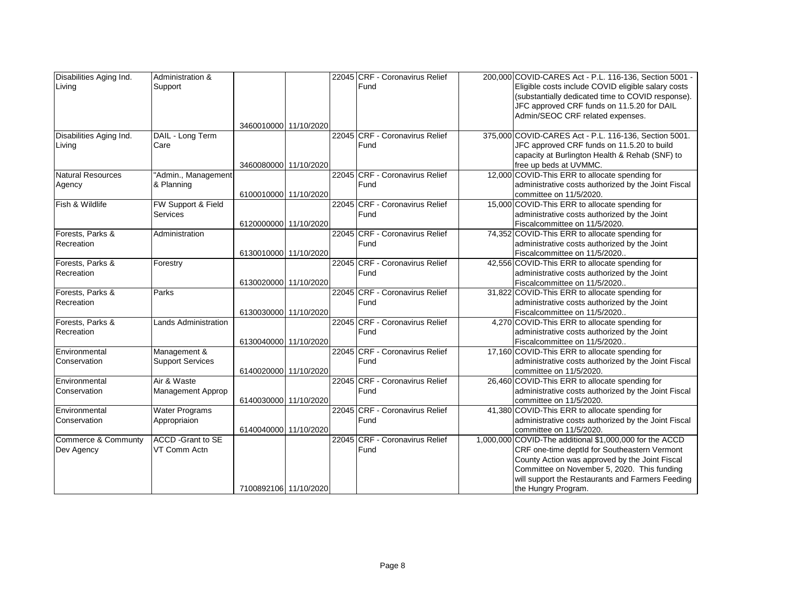| Disabilities Aging Ind.  | Administration &            |                       |  | 22045 CRF - Coronavirus Relief         | 200,000 COVID-CARES Act - P.L. 116-136, Section 5001 -                         |
|--------------------------|-----------------------------|-----------------------|--|----------------------------------------|--------------------------------------------------------------------------------|
| Living                   | Support                     |                       |  | Fund                                   | Eligible costs include COVID eligible salary costs                             |
|                          |                             |                       |  |                                        | (substantially dedicated time to COVID response).                              |
|                          |                             |                       |  |                                        | JFC approved CRF funds on 11.5.20 for DAIL                                     |
|                          |                             |                       |  |                                        | Admin/SEOC CRF related expenses.                                               |
|                          |                             | 3460010000 11/10/2020 |  |                                        |                                                                                |
| Disabilities Aging Ind.  | DAIL - Long Term            |                       |  | 22045 CRF - Coronavirus Relief         | 375,000 COVID-CARES Act - P.L. 116-136, Section 5001.                          |
| Living                   | Care                        |                       |  | Fund                                   | JFC approved CRF funds on 11.5.20 to build                                     |
|                          |                             |                       |  |                                        | capacity at Burlington Health & Rehab (SNF) to                                 |
|                          |                             | 3460080000 11/10/2020 |  |                                        | free up beds at UVMMC.                                                         |
| <b>Natural Resources</b> | 'Admin., Management         |                       |  | 22045 CRF - Coronavirus Relief         | 12,000 COVID-This ERR to allocate spending for                                 |
| Agency                   | & Planning                  |                       |  | Fund                                   | administrative costs authorized by the Joint Fiscal                            |
|                          |                             | 6100010000 11/10/2020 |  |                                        | committee on 11/5/2020.                                                        |
| Fish & Wildlife          | FW Support & Field          |                       |  | 22045 CRF - Coronavirus Relief         | 15,000 COVID-This ERR to allocate spending for                                 |
|                          | <b>Services</b>             |                       |  | Fund                                   | administrative costs authorized by the Joint                                   |
|                          |                             | 6120000000 11/10/2020 |  |                                        | Fiscalcommittee on 11/5/2020.                                                  |
| Forests, Parks &         | Administration              |                       |  | 22045 CRF - Coronavirus Relief         | 74,352 COVID-This ERR to allocate spending for                                 |
| Recreation               |                             |                       |  | Fund                                   | administrative costs authorized by the Joint                                   |
|                          |                             | 6130010000 11/10/2020 |  |                                        | Fiscalcommittee on 11/5/2020                                                   |
| Forests, Parks &         | Forestry                    |                       |  | 22045 CRF - Coronavirus Relief         | 42,556 COVID-This ERR to allocate spending for                                 |
| Recreation               |                             |                       |  | Fund                                   | administrative costs authorized by the Joint                                   |
|                          |                             | 6130020000 11/10/2020 |  |                                        | Fiscalcommittee on 11/5/2020                                                   |
| Forests, Parks &         | Parks                       |                       |  | 22045 CRF - Coronavirus Relief         | 31,822 COVID-This ERR to allocate spending for                                 |
| Recreation               |                             |                       |  | Fund                                   | administrative costs authorized by the Joint                                   |
|                          |                             | 6130030000 11/10/2020 |  |                                        | Fiscalcommittee on 11/5/2020                                                   |
| Forests, Parks &         | <b>Lands Administration</b> |                       |  | 22045 CRF - Coronavirus Relief         | 4,270 COVID-This ERR to allocate spending for                                  |
| Recreation               |                             |                       |  | Fund                                   | administrative costs authorized by the Joint                                   |
|                          |                             | 6130040000 11/10/2020 |  |                                        | Fiscalcommittee on 11/5/2020                                                   |
| Environmental            | Management &                |                       |  | 22045 CRF - Coronavirus Relief         | 17,160 COVID-This ERR to allocate spending for                                 |
| Conservation             | <b>Support Services</b>     |                       |  | Fund                                   | administrative costs authorized by the Joint Fiscal                            |
|                          | Air & Waste                 | 6140020000 11/10/2020 |  |                                        | committee on 11/5/2020.                                                        |
| Environmental            |                             |                       |  | 22045 CRF - Coronavirus Relief<br>Fund | 26,460 COVID-This ERR to allocate spending for                                 |
| Conservation             | Management Approp           | 6140030000 11/10/2020 |  |                                        | administrative costs authorized by the Joint Fiscal                            |
| Environmental            | <b>Water Programs</b>       |                       |  | 22045 CRF - Coronavirus Relief         | committee on 11/5/2020.<br>41,380 COVID-This ERR to allocate spending for      |
|                          |                             |                       |  | Fund                                   |                                                                                |
| Conservation             | Appropriaion                | 6140040000 11/10/2020 |  |                                        | administrative costs authorized by the Joint Fiscal<br>committee on 11/5/2020. |
| Commerce & Communty      | <b>ACCD</b> - Grant to SE   |                       |  | 22045 CRF - Coronavirus Relief         | 1,000,000 COVID-The additional \$1,000,000 for the ACCD                        |
| Dev Agency               | VT Comm Actn                |                       |  | Fund                                   | CRF one-time deptId for Southeastern Vermont                                   |
|                          |                             |                       |  |                                        | County Action was approved by the Joint Fiscal                                 |
|                          |                             |                       |  |                                        | Committee on November 5, 2020. This funding                                    |
|                          |                             |                       |  |                                        | will support the Restaurants and Farmers Feeding                               |
|                          |                             | 7100892106 11/10/2020 |  |                                        | the Hungry Program.                                                            |
|                          |                             |                       |  |                                        |                                                                                |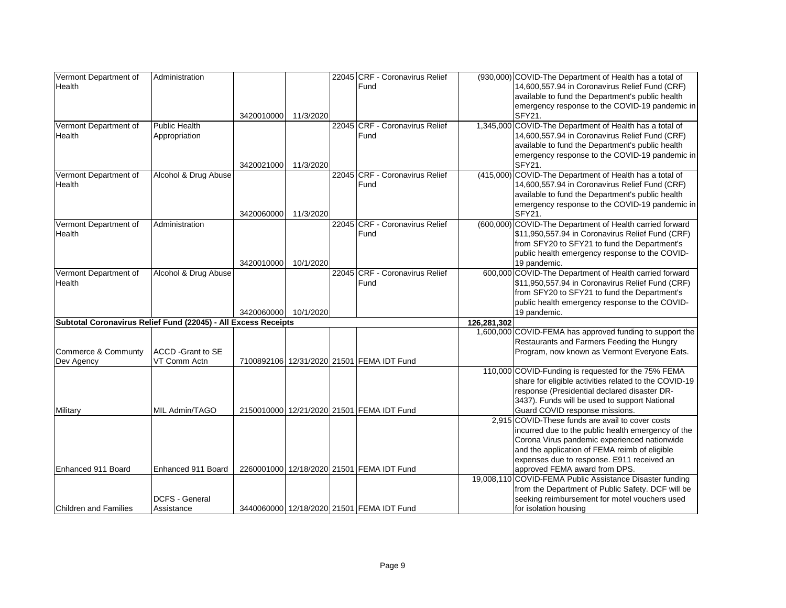| Vermont Department of                                          | Administration                            |            |           | 22045 CRF - Coronavirus Relief            |             | (930,000) COVID-The Department of Health has a total of                                            |
|----------------------------------------------------------------|-------------------------------------------|------------|-----------|-------------------------------------------|-------------|----------------------------------------------------------------------------------------------------|
| Health                                                         |                                           |            |           | Fund                                      |             | 14,600,557.94 in Coronavirus Relief Fund (CRF)                                                     |
|                                                                |                                           |            |           |                                           |             | available to fund the Department's public health                                                   |
|                                                                |                                           |            |           |                                           |             | emergency response to the COVID-19 pandemic in                                                     |
|                                                                |                                           | 3420010000 | 11/3/2020 |                                           |             | <b>SFY21.</b>                                                                                      |
| Vermont Department of                                          | <b>Public Health</b>                      |            |           | 22045 CRF - Coronavirus Relief            |             | 1,345,000 COVID-The Department of Health has a total of                                            |
| Health                                                         | Appropriation                             |            |           | Fund                                      |             | 14,600,557.94 in Coronavirus Relief Fund (CRF)                                                     |
|                                                                |                                           |            |           |                                           |             | available to fund the Department's public health                                                   |
|                                                                |                                           |            |           |                                           |             | emergency response to the COVID-19 pandemic in                                                     |
|                                                                |                                           | 3420021000 | 11/3/2020 |                                           |             | SFY21.                                                                                             |
| Vermont Department of                                          | Alcohol & Drug Abuse                      |            |           | 22045 CRF - Coronavirus Relief<br>Fund    |             | (415,000) COVID-The Department of Health has a total of                                            |
| Health                                                         |                                           |            |           |                                           |             | 14,600,557.94 in Coronavirus Relief Fund (CRF)<br>available to fund the Department's public health |
|                                                                |                                           |            |           |                                           |             | emergency response to the COVID-19 pandemic in                                                     |
|                                                                |                                           | 3420060000 | 11/3/2020 |                                           |             | SFY21.                                                                                             |
| Vermont Department of                                          | Administration                            |            |           | 22045 CRF - Coronavirus Relief            |             | (600,000) COVID-The Department of Health carried forward                                           |
| Health                                                         |                                           |            |           | Fund                                      |             | \$11,950,557.94 in Coronavirus Relief Fund (CRF)                                                   |
|                                                                |                                           |            |           |                                           |             | from SFY20 to SFY21 to fund the Department's                                                       |
|                                                                |                                           |            |           |                                           |             | public health emergency response to the COVID-                                                     |
|                                                                |                                           | 3420010000 | 10/1/2020 |                                           |             | 19 pandemic.                                                                                       |
| Vermont Department of                                          | Alcohol & Drug Abuse                      |            |           | 22045 CRF - Coronavirus Relief            |             | 600,000 COVID-The Department of Health carried forward                                             |
| Health                                                         |                                           |            |           | Fund                                      |             | \$11,950,557.94 in Coronavirus Relief Fund (CRF)                                                   |
|                                                                |                                           |            |           |                                           |             | from SFY20 to SFY21 to fund the Department's                                                       |
|                                                                |                                           |            |           |                                           |             | public health emergency response to the COVID-                                                     |
|                                                                |                                           | 3420060000 | 10/1/2020 |                                           |             | 19 pandemic.                                                                                       |
| Subtotal Coronavirus Relief Fund (22045) - All Excess Receipts |                                           |            |           |                                           | 126,281,302 |                                                                                                    |
|                                                                |                                           |            |           |                                           |             | 1,600,000 COVID-FEMA has approved funding to support the                                           |
|                                                                |                                           |            |           |                                           |             | Restaurants and Farmers Feeding the Hungry                                                         |
| Commerce & Communty                                            | <b>ACCD</b> - Grant to SE<br>VT Comm Actn |            |           | 7100892106 12/31/2020 21501 FEMA IDT Fund |             | Program, now known as Vermont Everyone Eats.                                                       |
| Dev Agency                                                     |                                           |            |           |                                           |             | 110,000 COVID-Funding is requested for the 75% FEMA                                                |
|                                                                |                                           |            |           |                                           |             | share for eligible activities related to the COVID-19                                              |
|                                                                |                                           |            |           |                                           |             | response (Presidential declared disaster DR-                                                       |
|                                                                |                                           |            |           |                                           |             | 3437). Funds will be used to support National                                                      |
| Military                                                       | MIL Admin/TAGO                            |            |           | 2150010000 12/21/2020 21501 FEMA IDT Fund |             | Guard COVID response missions.                                                                     |
|                                                                |                                           |            |           |                                           |             | 2,915 COVID-These funds are avail to cover costs                                                   |
|                                                                |                                           |            |           |                                           |             | incurred due to the public health emergency of the                                                 |
|                                                                |                                           |            |           |                                           |             | Corona Virus pandemic experienced nationwide                                                       |
|                                                                |                                           |            |           |                                           |             | and the application of FEMA reimb of eligible                                                      |
|                                                                |                                           |            |           |                                           |             | expenses due to response. E911 received an                                                         |
| Enhanced 911 Board                                             | Enhanced 911 Board                        |            |           | 2260001000 12/18/2020 21501 FEMA IDT Fund |             | approved FEMA award from DPS.                                                                      |
|                                                                |                                           |            |           |                                           |             | 19,008,110 COVID-FEMA Public Assistance Disaster funding                                           |
|                                                                |                                           |            |           |                                           |             | from the Department of Public Safety. DCF will be                                                  |
|                                                                | <b>DCFS - General</b>                     |            |           |                                           |             | seeking reimbursement for motel vouchers used                                                      |
| <b>Children and Families</b>                                   | Assistance                                |            |           | 3440060000 12/18/2020 21501 FEMA IDT Fund |             | for isolation housing                                                                              |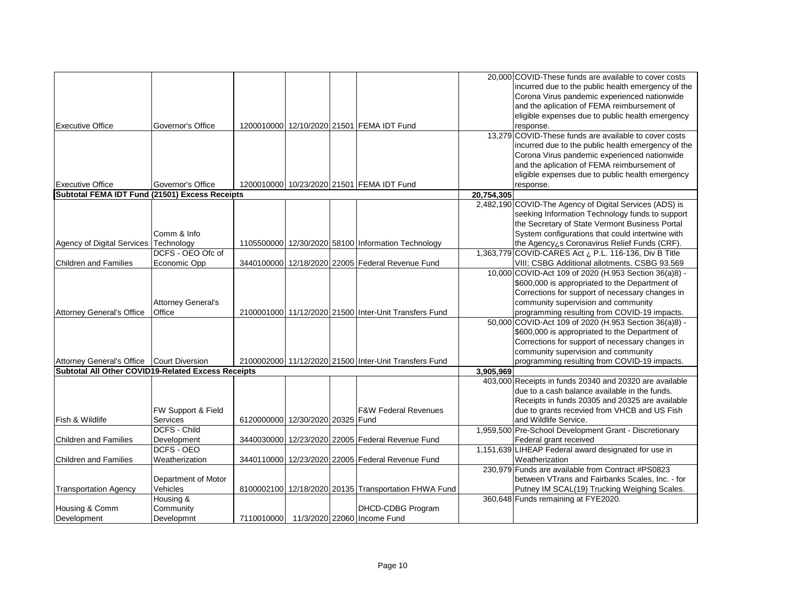|                                                    |                           |                                  |  |                                                       |            | 20,000 COVID-These funds are available to cover costs   |
|----------------------------------------------------|---------------------------|----------------------------------|--|-------------------------------------------------------|------------|---------------------------------------------------------|
|                                                    |                           |                                  |  |                                                       |            | incurred due to the public health emergency of the      |
|                                                    |                           |                                  |  |                                                       |            | Corona Virus pandemic experienced nationwide            |
|                                                    |                           |                                  |  |                                                       |            | and the aplication of FEMA reimbursement of             |
|                                                    |                           |                                  |  |                                                       |            |                                                         |
|                                                    |                           |                                  |  |                                                       |            | eligible expenses due to public health emergency        |
| <b>Executive Office</b>                            | Governor's Office         |                                  |  | 1200010000 12/10/2020 21501 FEMA IDT Fund             |            | response.                                               |
|                                                    |                           |                                  |  |                                                       |            | 13,279 COVID-These funds are available to cover costs   |
|                                                    |                           |                                  |  |                                                       |            | incurred due to the public health emergency of the      |
|                                                    |                           |                                  |  |                                                       |            | Corona Virus pandemic experienced nationwide            |
|                                                    |                           |                                  |  |                                                       |            | and the aplication of FEMA reimbursement of             |
|                                                    |                           |                                  |  |                                                       |            | eligible expenses due to public health emergency        |
| <b>Executive Office</b>                            | Governor's Office         |                                  |  | 1200010000 10/23/2020 21501 FEMA IDT Fund             |            | response.                                               |
| Subtotal FEMA IDT Fund (21501) Excess Receipts     |                           |                                  |  |                                                       | 20,754,305 |                                                         |
|                                                    |                           |                                  |  |                                                       |            | 2,482,190 COVID-The Agency of Digital Services (ADS) is |
|                                                    |                           |                                  |  |                                                       |            | seeking Information Technology funds to support         |
|                                                    |                           |                                  |  |                                                       |            | the Secretary of State Vermont Business Portal          |
|                                                    | Comm & Info               |                                  |  |                                                       |            | System configurations that could intertwine with        |
| Agency of Digital Services Technology              |                           |                                  |  | 1105500000 12/30/2020 58100 Information Technology    |            | the Agency¿s Coronavirus Relief Funds (CRF).            |
|                                                    | DCFS - OEO Ofc of         |                                  |  |                                                       |            | 1,363,779 COVID-CARES Act ¿ P.L. 116-136, Div B Title   |
| <b>Children and Families</b>                       | Economic Opp              |                                  |  | 3440100000 12/18/2020 22005 Federal Revenue Fund      |            | VIII; CSBG Additional allotments. CSBG 93.569           |
|                                                    |                           |                                  |  |                                                       |            | 10,000 COVID-Act 109 of 2020 (H.953 Section 36(a)8) -   |
|                                                    |                           |                                  |  |                                                       |            | \$600,000 is appropriated to the Department of          |
|                                                    |                           |                                  |  |                                                       |            | Corrections for support of necessary changes in         |
|                                                    |                           |                                  |  |                                                       |            |                                                         |
|                                                    | <b>Attorney General's</b> |                                  |  |                                                       |            | community supervision and community                     |
| <b>Attorney General's Office</b>                   | Office                    |                                  |  | 2100001000 11/12/2020 21500 Inter-Unit Transfers Fund |            | programming resulting from COVID-19 impacts.            |
|                                                    |                           |                                  |  |                                                       |            | 50,000 COVID-Act 109 of 2020 (H.953 Section 36(a)8) -   |
|                                                    |                           |                                  |  |                                                       |            | \$600,000 is appropriated to the Department of          |
|                                                    |                           |                                  |  |                                                       |            | Corrections for support of necessary changes in         |
|                                                    |                           |                                  |  |                                                       |            | community supervision and community                     |
| Attorney General's Office Court Diversion          |                           |                                  |  | 2100002000 11/12/2020 21500 Inter-Unit Transfers Fund |            | programming resulting from COVID-19 impacts.            |
| Subtotal All Other COVID19-Related Excess Receipts |                           |                                  |  |                                                       | 3.905.969  |                                                         |
|                                                    |                           |                                  |  |                                                       |            | 403,000 Receipts in funds 20340 and 20320 are available |
|                                                    |                           |                                  |  |                                                       |            | due to a cash balance available in the funds.           |
|                                                    |                           |                                  |  |                                                       |            | Receipts in funds 20305 and 20325 are available         |
|                                                    | FW Support & Field        |                                  |  | <b>F&amp;W Federal Revenues</b>                       |            | due to grants recevied from VHCB and US Fish            |
| Fish & Wildlife                                    | Services                  | 6120000000 12/30/2020 20325 Fund |  |                                                       |            | and Wildlife Service.                                   |
|                                                    | DCFS - Child              |                                  |  |                                                       |            | 1,959,500 Pre-School Development Grant - Discretionary  |
| Children and Families                              | Development               |                                  |  | 3440030000 12/23/2020 22005 Federal Revenue Fund      |            | Federal grant received                                  |
|                                                    | DCFS - OEO                |                                  |  |                                                       |            | 1,151,639 LIHEAP Federal award designated for use in    |
| Children and Families                              | Weatherization            |                                  |  | 3440110000 12/23/2020 22005 Federal Revenue Fund      |            | Weatherization                                          |
|                                                    |                           |                                  |  |                                                       |            | 230,979 Funds are available from Contract #PS0823       |
|                                                    | Department of Motor       |                                  |  |                                                       |            | between VTrans and Fairbanks Scales, Inc. - for         |
| <b>Transportation Agency</b>                       | Vehicles                  |                                  |  | 8100002100 12/18/2020 20135 Transportation FHWA Fund  |            | Putney IM SCAL(19) Trucking Weighing Scales.            |
|                                                    | Housing &                 |                                  |  |                                                       |            | 360,648 Funds remaining at FYE2020.                     |
|                                                    |                           |                                  |  |                                                       |            |                                                         |
| Housing & Comm                                     | Community                 |                                  |  | DHCD-CDBG Program                                     |            |                                                         |
| Development                                        | Developmnt                |                                  |  | 7110010000 11/3/2020 22060 Income Fund                |            |                                                         |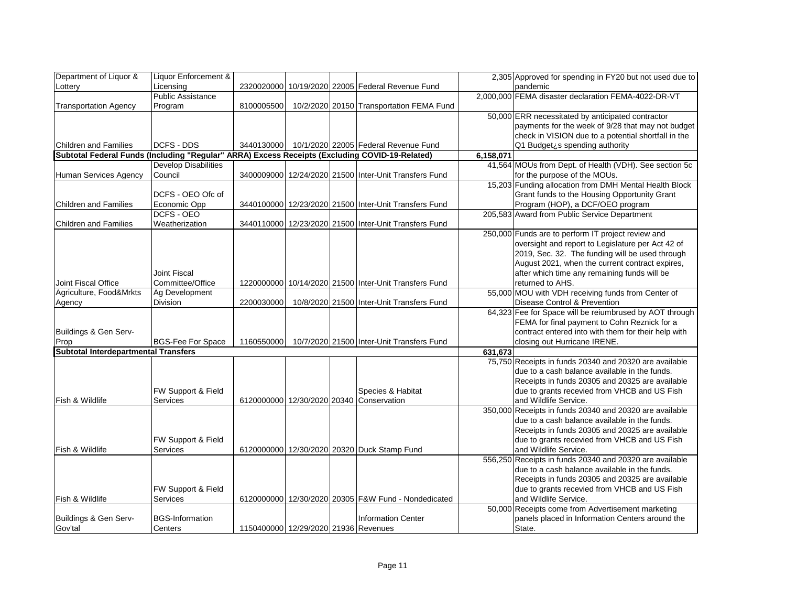| Department of Liquor &                                                                         | Liquor Enforcement &        |                                      |  |                                                       |           | 2,305 Approved for spending in FY20 but not used due to |
|------------------------------------------------------------------------------------------------|-----------------------------|--------------------------------------|--|-------------------------------------------------------|-----------|---------------------------------------------------------|
| Lottery                                                                                        | Licensing                   |                                      |  | 2320020000 10/19/2020 22005 Federal Revenue Fund      |           | pandemic                                                |
|                                                                                                | <b>Public Assistance</b>    |                                      |  |                                                       |           | 2,000,000 FEMA disaster declaration FEMA-4022-DR-VT     |
| <b>Transportation Agency</b>                                                                   | Program                     | 8100005500                           |  | 10/2/2020 20150 Transportation FEMA Fund              |           |                                                         |
|                                                                                                |                             |                                      |  |                                                       |           | 50,000 ERR necessitated by anticipated contractor       |
|                                                                                                |                             |                                      |  |                                                       |           | payments for the week of 9/28 that may not budget       |
|                                                                                                |                             |                                      |  |                                                       |           | check in VISION due to a potential shortfall in the     |
| <b>Children and Families</b>                                                                   | DCFS - DDS                  | 3440130000                           |  | 10/1/2020 22005 Federal Revenue Fund                  |           | Q1 Budget¿s spending authority                          |
| Subtotal Federal Funds (Including "Regular" ARRA) Excess Receipts (Excluding COVID-19-Related) |                             |                                      |  |                                                       | 6,158,071 |                                                         |
|                                                                                                | <b>Develop Disabilities</b> |                                      |  |                                                       |           | 41,564 MOUs from Dept. of Health (VDH). See section 5c  |
| Human Services Agency                                                                          | Council                     |                                      |  | 3400009000 12/24/2020 21500 Inter-Unit Transfers Fund |           | for the purpose of the MOUs.                            |
|                                                                                                |                             |                                      |  |                                                       |           | 15,203 Funding allocation from DMH Mental Health Block  |
|                                                                                                | DCFS - OEO Ofc of           |                                      |  |                                                       |           | Grant funds to the Housing Opportunity Grant            |
| <b>Children and Families</b>                                                                   | Economic Opp                |                                      |  | 3440100000 12/23/2020 21500 Inter-Unit Transfers Fund |           | Program (HOP), a DCF/OEO program                        |
|                                                                                                | DCFS - OEO                  |                                      |  |                                                       |           | 205,583 Award from Public Service Department            |
| <b>Children and Families</b>                                                                   | Weatherization              |                                      |  | 3440110000 12/23/2020 21500 Inter-Unit Transfers Fund |           |                                                         |
|                                                                                                |                             |                                      |  |                                                       |           | 250,000 Funds are to perform IT project review and      |
|                                                                                                |                             |                                      |  |                                                       |           | oversight and report to Legislature per Act 42 of       |
|                                                                                                |                             |                                      |  |                                                       |           | 2019, Sec. 32. The funding will be used through         |
|                                                                                                |                             |                                      |  |                                                       |           | August 2021, when the current contract expires,         |
|                                                                                                | Joint Fiscal                |                                      |  |                                                       |           | after which time any remaining funds will be            |
| Joint Fiscal Office                                                                            | Committee/Office            |                                      |  | 1220000000 10/14/2020 21500 Inter-Unit Transfers Fund |           | returned to AHS.                                        |
| Agriculture, Food&Mrkts                                                                        | Ag Development              |                                      |  |                                                       |           | 55,000 MOU with VDH receiving funds from Center of      |
| Agency                                                                                         | Division                    | 2200030000                           |  | 10/8/2020 21500 Inter-Unit Transfers Fund             |           | Disease Control & Prevention                            |
|                                                                                                |                             |                                      |  |                                                       |           | 64,323 Fee for Space will be reiumbrused by AOT through |
|                                                                                                |                             |                                      |  |                                                       |           | FEMA for final payment to Cohn Reznick for a            |
| Buildings & Gen Serv-                                                                          |                             |                                      |  |                                                       |           | contract entered into with them for their help with     |
| Prop                                                                                           | <b>BGS-Fee For Space</b>    | 1160550000                           |  | 10/7/2020 21500 Inter-Unit Transfers Fund             |           | closing out Hurricane IRENE.                            |
| <b>Subtotal Interdepartmental Transfers</b>                                                    |                             |                                      |  |                                                       | 631,673   |                                                         |
|                                                                                                |                             |                                      |  |                                                       |           | 75,750 Receipts in funds 20340 and 20320 are available  |
|                                                                                                |                             |                                      |  |                                                       |           | due to a cash balance available in the funds.           |
|                                                                                                |                             |                                      |  |                                                       |           | Receipts in funds 20305 and 20325 are available         |
|                                                                                                | FW Support & Field          |                                      |  | Species & Habitat                                     |           | due to grants recevied from VHCB and US Fish            |
| Fish & Wildlife                                                                                | Services                    | 6120000000 12/30/2020 20340          |  | Conservation                                          |           | and Wildlife Service.                                   |
|                                                                                                |                             |                                      |  |                                                       |           | 350,000 Receipts in funds 20340 and 20320 are available |
|                                                                                                |                             |                                      |  |                                                       |           | due to a cash balance available in the funds.           |
|                                                                                                |                             |                                      |  |                                                       |           | Receipts in funds 20305 and 20325 are available         |
|                                                                                                | FW Support & Field          |                                      |  |                                                       |           | due to grants recevied from VHCB and US Fish            |
| Fish & Wildlife                                                                                | Services                    |                                      |  | 6120000000 12/30/2020 20320 Duck Stamp Fund           |           | and Wildlife Service.                                   |
|                                                                                                |                             |                                      |  |                                                       |           | 556,250 Receipts in funds 20340 and 20320 are available |
|                                                                                                |                             |                                      |  |                                                       |           | due to a cash balance available in the funds.           |
|                                                                                                |                             |                                      |  |                                                       |           | Receipts in funds 20305 and 20325 are available         |
|                                                                                                | FW Support & Field          |                                      |  |                                                       |           | due to grants recevied from VHCB and US Fish            |
| Fish & Wildlife                                                                                | Services                    |                                      |  | 6120000000 12/30/2020 20305 F&W Fund - Nondedicated   |           | and Wildlife Service.                                   |
|                                                                                                |                             |                                      |  |                                                       |           | 50,000 Receipts come from Advertisement marketing       |
| Buildings & Gen Serv-                                                                          | <b>BGS-Information</b>      |                                      |  | <b>Information Center</b>                             |           | panels placed in Information Centers around the         |
| Gov'tal                                                                                        | Centers                     | 1150400000 12/29/2020 21936 Revenues |  |                                                       |           | State.                                                  |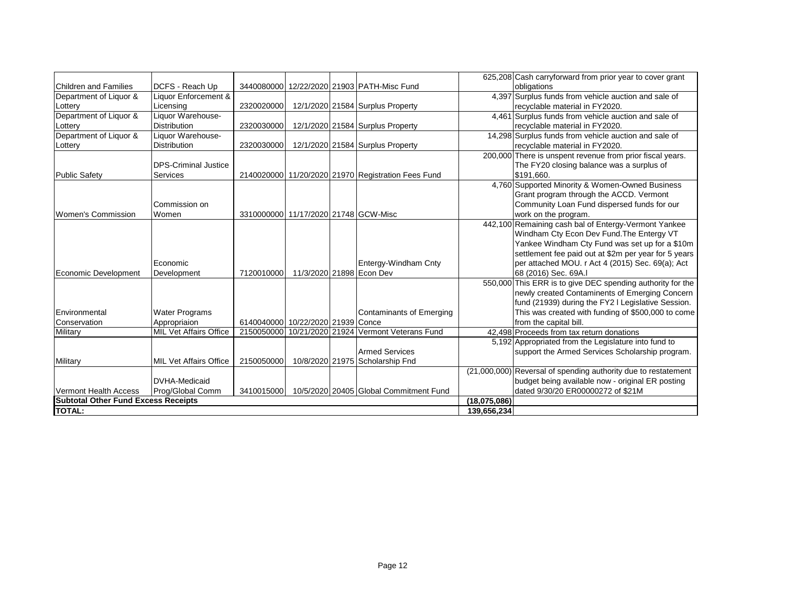|                                            |                               |                                      |                          |                                                    |              | 625,208 Cash carryforward from prior year to cover grant       |
|--------------------------------------------|-------------------------------|--------------------------------------|--------------------------|----------------------------------------------------|--------------|----------------------------------------------------------------|
| <b>Children and Families</b>               | DCFS - Reach Up               |                                      |                          | 3440080000 12/22/2020 21903 PATH-Misc Fund         |              | obligations                                                    |
| Department of Liquor &                     | Liquor Enforcement &          |                                      |                          |                                                    |              | 4,397 Surplus funds from vehicle auction and sale of           |
| Lottery                                    | Licensing                     | 2320020000                           |                          | 12/1/2020 21584 Surplus Property                   |              | recyclable material in FY2020.                                 |
| Department of Liquor &                     | Liquor Warehouse-             |                                      |                          |                                                    |              | 4,461 Surplus funds from vehicle auction and sale of           |
| Lottery                                    | <b>Distribution</b>           | 2320030000                           |                          | 12/1/2020 21584 Surplus Property                   |              | recyclable material in FY2020.                                 |
| Department of Liquor &                     | Liquor Warehouse-             |                                      |                          |                                                    |              | 14,298 Surplus funds from vehicle auction and sale of          |
| Lottery                                    | <b>Distribution</b>           | 2320030000                           |                          | 12/1/2020 21584 Surplus Property                   |              | recyclable material in FY2020.                                 |
|                                            |                               |                                      |                          |                                                    |              | 200,000 There is unspent revenue from prior fiscal years.      |
|                                            | <b>DPS-Criminal Justice</b>   |                                      |                          |                                                    |              | The FY20 closing balance was a surplus of                      |
| <b>Public Safety</b>                       | <b>Services</b>               |                                      |                          | 2140020000 11/20/2020 21970 Registration Fees Fund |              | \$191.660.                                                     |
|                                            |                               |                                      |                          |                                                    |              | 4,760 Supported Minority & Women-Owned Business                |
|                                            |                               |                                      |                          |                                                    |              | Grant program through the ACCD. Vermont                        |
|                                            | Commission on                 |                                      |                          |                                                    |              | Community Loan Fund dispersed funds for our                    |
| <b>Women's Commission</b>                  | Women                         | 3310000000 11/17/2020 21748 GCW-Misc |                          |                                                    |              | work on the program.                                           |
|                                            |                               |                                      |                          |                                                    |              | 442,100 Remaining cash bal of Entergy-Vermont Yankee           |
|                                            |                               |                                      |                          |                                                    |              | Windham Cty Econ Dev Fund. The Entergy VT                      |
|                                            |                               |                                      |                          |                                                    |              | Yankee Windham Cty Fund was set up for a \$10m                 |
|                                            |                               |                                      |                          |                                                    |              | settlement fee paid out at \$2m per year for 5 years           |
|                                            | Economic                      |                                      |                          | Entergy-Windham Cnty                               |              | per attached MOU. r Act 4 (2015) Sec. 69(a); Act               |
| Economic Development                       | Development                   | 7120010000                           | 11/3/2020 21898 Econ Dev |                                                    |              | 68 (2016) Sec. 69A.I                                           |
|                                            |                               |                                      |                          |                                                    |              | 550,000 This ERR is to give DEC spending authority for the     |
|                                            |                               |                                      |                          |                                                    |              | newly created Contaminents of Emerging Concern                 |
|                                            |                               |                                      |                          |                                                    |              | fund (21939) during the FY2 I Legislative Session.             |
| Environmental                              | <b>Water Programs</b>         |                                      |                          | <b>Contaminants of Emerging</b>                    |              | This was created with funding of \$500,000 to come             |
| Conservation                               | Appropriaion                  | 6140040000 10/22/2020 21939 Conce    |                          |                                                    |              | from the capital bill.                                         |
| Military                                   | <b>MIL Vet Affairs Office</b> | 2150050000 10/21/2020 21924          |                          | Vermont Veterans Fund                              |              | 42,498 Proceeds from tax return donations                      |
|                                            |                               |                                      |                          |                                                    |              | 5,192 Appropriated from the Legislature into fund to           |
|                                            |                               |                                      |                          | <b>Armed Services</b>                              |              | support the Armed Services Scholarship program.                |
| Military                                   | <b>MIL Vet Affairs Office</b> | 2150050000                           |                          | 10/8/2020 21975 Scholarship Fnd                    |              |                                                                |
|                                            |                               |                                      |                          |                                                    |              | (21,000,000) Reversal of spending authority due to restatement |
|                                            | <b>DVHA-Medicaid</b>          |                                      |                          |                                                    |              | budget being available now - original ER posting               |
| Vermont Health Access                      | Prog/Global Comm              | 3410015000                           |                          | 10/5/2020 20405 Global Commitment Fund             |              | dated 9/30/20 ER00000272 of \$21M                              |
| <b>Subtotal Other Fund Excess Receipts</b> |                               |                                      |                          |                                                    | (18,075,086) |                                                                |
| <b>TOTAL:</b>                              |                               | 139,656,234                          |                          |                                                    |              |                                                                |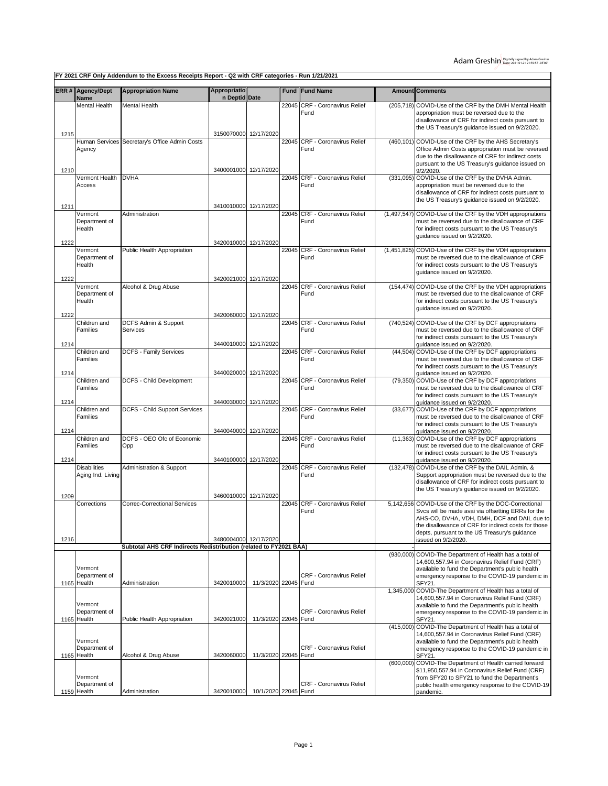**FY 2021 CRF Only Addendum to the Excess Receipts Report - Q2 with CRF categories - Run 1/21/2021**

|      | <b>ERR # Agency/Dept</b>                | <b>Appropriation Name</b>                                         | <b>Appropriatio</b>   |                      |       | <b>Fund Fund Name</b>                   |             | <b>Amount Comments</b>                                                                                                                                                                                                                                               |
|------|-----------------------------------------|-------------------------------------------------------------------|-----------------------|----------------------|-------|-----------------------------------------|-------------|----------------------------------------------------------------------------------------------------------------------------------------------------------------------------------------------------------------------------------------------------------------------|
|      | Name                                    |                                                                   | n Deptid Date         |                      |       |                                         |             |                                                                                                                                                                                                                                                                      |
|      | <b>Mental Health</b>                    | Mental Health                                                     |                       |                      | 22045 | CRF - Coronavirus Relief<br>Fund        |             | (205,718) COVID-Use of the CRF by the DMH Mental Health<br>appropriation must be reversed due to the<br>disallowance of CRF for indirect costs pursuant to<br>the US Treasury's guidance issued on 9/2/2020.                                                         |
| 1215 |                                         |                                                                   | 3150070000 12/17/2020 |                      |       |                                         |             |                                                                                                                                                                                                                                                                      |
| 1210 | Human Services<br>Agency                | Secretary's Office Admin Costs                                    | 3400001000 12/17/2020 |                      |       | 22045 CRF - Coronavirus Relief<br>Fund  |             | (460,101) COVID-Use of the CRF by the AHS Secretary's<br>Office Admin Costs appropriation must be reversed<br>due to the disallowance of CRF for indirect costs<br>pursuant to the US Treasury's guidance issued on<br>9/2/2020.                                     |
|      | Vermont Health                          | <b>DVHA</b>                                                       |                       |                      |       | 22045 CRF - Coronavirus Relief          |             | (331,095) COVID-Use of the CRF by the DVHA Admin.                                                                                                                                                                                                                    |
| 1211 | Access                                  |                                                                   | 3410010000 12/17/2020 |                      |       | Fund                                    |             | appropriation must be reversed due to the<br>disallowance of CRF for indirect costs pursuant to<br>the US Treasury's guidance issued on 9/2/2020.                                                                                                                    |
|      | Vermont                                 | Administration                                                    |                       |                      |       | 22045 CRF - Coronavirus Relief          |             | (1,497,547) COVID-Use of the CRF by the VDH appropriations                                                                                                                                                                                                           |
| 1222 | Department of<br>Health                 |                                                                   | 3420010000 12/17/2020 |                      |       | Fund                                    |             | must be reversed due to the disallowance of CRF<br>for indirect costs pursuant to the US Treasury's<br>quidance issued on 9/2/2020.                                                                                                                                  |
|      | Vermont                                 | Public Health Appropriation                                       |                       |                      | 22045 | <b>CRF - Coronavirus Relief</b>         | (1,451,825) | COVID-Use of the CRF by the VDH appropriations                                                                                                                                                                                                                       |
|      | Department of<br>Health                 |                                                                   |                       |                      |       | Fund                                    |             | must be reversed due to the disallowance of CRF<br>for indirect costs pursuant to the US Treasury's<br>guidance issued on 9/2/2020.                                                                                                                                  |
| 1222 | Vermont                                 | Alcohol & Drug Abuse                                              | 3420021000 12/17/2020 |                      | 22045 | CRF - Coronavirus Relief                |             | (154,474) COVID-Use of the CRF by the VDH appropriations                                                                                                                                                                                                             |
| 1222 | Department of<br>Health                 |                                                                   | 3420060000 12/17/2020 |                      |       | Fund                                    |             | must be reversed due to the disallowance of CRF<br>for indirect costs pursuant to the US Treasury's<br>guidance issued on 9/2/2020.                                                                                                                                  |
|      | Children and                            | DCFS Admin & Support                                              |                       |                      | 22045 | <b>CRF - Coronavirus Relief</b>         |             | (740,524) COVID-Use of the CRF by DCF appropriations                                                                                                                                                                                                                 |
|      | Families                                | Services                                                          | 3440010000 12/17/2020 |                      |       | Fund                                    |             | must be reversed due to the disallowance of CRF<br>for indirect costs pursuant to the US Treasury's                                                                                                                                                                  |
| 1214 | Children and                            | <b>DCFS - Family Services</b>                                     |                       |                      | 22045 | <b>CRF - Coronavirus Relief</b>         |             | quidance issued on 9/2/2020.<br>(44,504) COVID-Use of the CRF by DCF appropriations                                                                                                                                                                                  |
|      | Families                                |                                                                   |                       |                      |       | Fund                                    |             | must be reversed due to the disallowance of CRF<br>for indirect costs pursuant to the US Treasury's                                                                                                                                                                  |
| 1214 | Children and                            | DCFS - Child Development                                          | 3440020000 12/17/2020 |                      |       | 22045 CRF - Coronavirus Relief          |             | guidance issued on 9/2/2020.<br>(79,350) COVID-Use of the CRF by DCF appropriations                                                                                                                                                                                  |
| 1214 | Families                                |                                                                   | 3440030000 12/17/2020 |                      |       | Fund                                    |             | must be reversed due to the disallowance of CRF<br>for indirect costs pursuant to the US Treasury's<br>guidance issued on 9/2/2020.                                                                                                                                  |
|      | Children and<br>Families                | DCFS - Child Support Services                                     |                       |                      |       | 22045 CRF - Coronavirus Relief<br>Fund  |             | (33,677) COVID-Use of the CRF by DCF appropriations<br>must be reversed due to the disallowance of CRF<br>for indirect costs pursuant to the US Treasury's                                                                                                           |
| 1214 |                                         |                                                                   | 3440040000 12/17/2020 |                      |       |                                         |             | quidance issued on 9/2/2020.                                                                                                                                                                                                                                         |
| 1214 | Children and<br>Families                | DCFS - OEO Ofc of Economic<br>Opp                                 | 3440100000 12/17/2020 |                      | 22045 | CRF - Coronavirus Relief<br>Fund        |             | (11,363) COVID-Use of the CRF by DCF appropriations<br>must be reversed due to the disallowance of CRF<br>for indirect costs pursuant to the US Treasury's<br>guidance issued on 9/2/2020.                                                                           |
|      | <b>Disabilities</b>                     | Administration & Support                                          |                       |                      |       | 22045 CRF - Coronavirus Relief          |             | (132,478) COVID-Use of the CRF by the DAIL Admin. &                                                                                                                                                                                                                  |
| 1209 | Aging Ind. Living                       |                                                                   | 3460010000 12/17/2020 |                      |       | Fund                                    |             | Support appropriation must be reversed due to the<br>disallowance of CRF for indirect costs pursuant to<br>the US Treasury's guidance issued on 9/2/2020.                                                                                                            |
|      | Corrections                             | <b>Correc-Correctional Services</b>                               |                       |                      | 22045 | <b>CRF - Coronavirus Relief</b><br>Fund |             | 5,142,656 COVID-Use of the CRF by the DOC-Correctional<br>Svcs will be made avai via offsetting ERRs for the<br>AHS-CO, DVHA, VDH, DMH, DCF and DAIL due to<br>the disallowance of CRF for indirect costs for those<br>depts, pursuant to the US Treasury's guidance |
| 1216 |                                         |                                                                   | 3480004000 12/17/2020 |                      |       |                                         |             | issued on 9/2/2020.                                                                                                                                                                                                                                                  |
|      |                                         | Subtotal AHS CRF Indirects Redistribution (related to FY2021 BAA) |                       |                      |       |                                         |             | (930,000) COVID-The Department of Health has a total of                                                                                                                                                                                                              |
|      | Vermont<br>Department of                |                                                                   |                       |                      |       | <b>CRF - Coronavirus Relief</b>         |             | 14,600,557.94 in Coronavirus Relief Fund (CRF)<br>available to fund the Department's public health<br>emergency response to the COVID-19 pandemic in                                                                                                                 |
|      | 1165 Health                             | Administration                                                    | 3420010000            | 11/3/2020 22045 Fund |       |                                         |             | SFY21.<br>1,345,000 COVID-The Department of Health has a total of                                                                                                                                                                                                    |
|      | Vermont<br>Department of<br>1165 Health | Public Health Appropriation                                       | 3420021000            | 11/3/2020 22045 Fund |       | <b>CRF - Coronavirus Relief</b>         |             | 14,600,557.94 in Coronavirus Relief Fund (CRF)<br>available to fund the Department's public health<br>emergency response to the COVID-19 pandemic in<br>SFY21.                                                                                                       |
|      | Vermont<br>Department of                |                                                                   |                       |                      |       | <b>CRF - Coronavirus Relief</b>         |             | (415,000) COVID-The Department of Health has a total of<br>14,600,557.94 in Coronavirus Relief Fund (CRF)<br>available to fund the Department's public health<br>emergency response to the COVID-19 pandemic in                                                      |
|      | 1165 Health                             | Alcohol & Drug Abuse                                              | 3420060000            | 11/3/2020 22045 Fund |       |                                         |             | SFY21.                                                                                                                                                                                                                                                               |
|      | Vermont<br>Department of                |                                                                   |                       |                      |       | <b>CRF - Coronavirus Relief</b>         |             | (600,000) COVID-The Department of Health carried forward<br>\$11,950,557.94 in Coronavirus Relief Fund (CRF)<br>from SFY20 to SFY21 to fund the Department's<br>public health emergency response to the COVID-19                                                     |
|      | 1159 Health                             | Administration                                                    | 3420010000            | 10/1/2020 22045 Fund |       |                                         |             | pandemic.                                                                                                                                                                                                                                                            |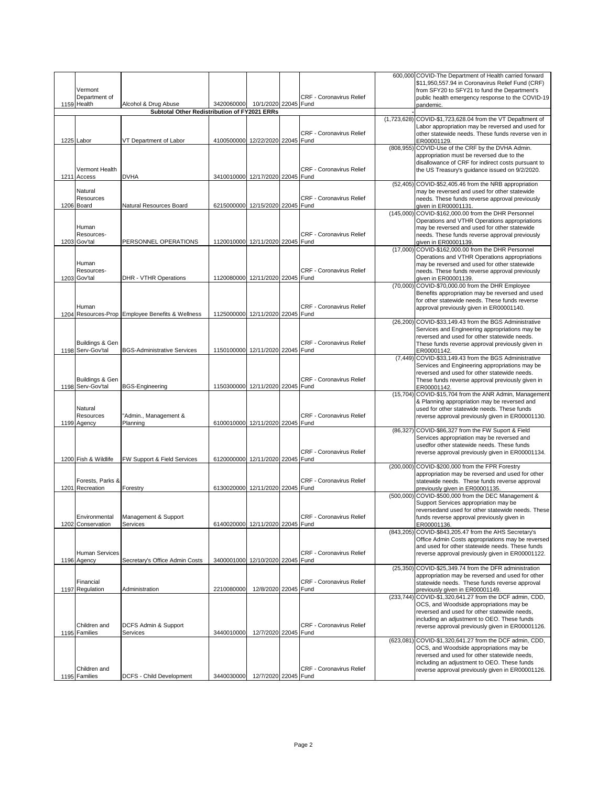| Vermont<br>Department of             |                                                                      |                                  |                                                            | <b>CRF - Coronavirus Relief</b>  |            | 600,000 COVID-The Department of Health carried forward<br>\$11,950,557.94 in Coronavirus Relief Fund (CRF)<br>from SFY20 to SFY21 to fund the Department's<br>public health emergency response to the COVID-19                                        |
|--------------------------------------|----------------------------------------------------------------------|----------------------------------|------------------------------------------------------------|----------------------------------|------------|-------------------------------------------------------------------------------------------------------------------------------------------------------------------------------------------------------------------------------------------------------|
| 1159 Health                          | Alcohol & Drug Abuse<br>Subtotal Other Redistribution of FY2021 ERRs | 3420060000                       | 10/1/2020 22045 Fund                                       |                                  |            | pandemic.                                                                                                                                                                                                                                             |
|                                      |                                                                      |                                  | (1,723,628) COVID-\$1,723,628.04 from the VT Depaftment of |                                  |            |                                                                                                                                                                                                                                                       |
| 1225 Labor                           | VT Department of Labor                                               | 4100500000 12/22/2020 22045 Fund |                                                            | <b>CRF - Coronavirus Relief</b>  |            | Labor appropriation may be reversed and used for<br>other statewide needs. These funds reverse ven in<br>ER00001129.                                                                                                                                  |
| Vermont Health<br>1211 Access        | <b>DVHA</b>                                                          | 3410010000 12/17/2020 22045 Fund |                                                            | <b>CRF - Coronavirus Relief</b>  |            | (808,955) COVID-Use of the CRF by the DVHA Admin.<br>appropriation must be reversed due to the<br>disallowance of CRF for indirect costs pursuant to<br>the US Treasury's guidance issued on 9/2/2020.                                                |
| Natural<br>Resources<br>1206 Board   | Natural Resources Board                                              | 6215000000 12/15/2020 22045 Fund |                                                            | <b>CRF - Coronavirus Relief</b>  |            | (52,405) COVID-\$52,405.46 from the NRB appropriation<br>may be reversed and used for other statewide<br>needs. These funds reverse approval previously<br>given in ER00001131.                                                                       |
| Human<br>Resources-<br>1203 Gov'tal  | PERSONNEL OPERATIONS                                                 | 1120010000 12/11/2020 22045 Fund |                                                            | <b>CRF - Coronavirus Relief</b>  |            | (145,000) COVID-\$162,000.00 from the DHR Personnel<br>Operations and VTHR Operations appropriations<br>may be reversed and used for other statewide<br>needs. These funds reverse approval previously<br>given in ER00001139.                        |
| Human<br>Resources-<br>1203 Gov'tal  | DHR - VTHR Operations                                                | 1120080000 12/11/2020 22045 Fund |                                                            | CRF - Coronavirus Relief         |            | (17,000) COVID-\$162,000.00 from the DHR Personnel<br>Operations and VTHR Operations appropriations<br>may be reversed and used for other statewide<br>needs. These funds reverse approval previously<br>given in ER00001139.                         |
|                                      |                                                                      |                                  |                                                            |                                  |            | (70,000) COVID-\$70,000.00 from the DHR Employee<br>Benefits appropriation may be reversed and used<br>for other statewide needs. These funds reverse                                                                                                 |
| Human                                | 1204 Resources-Prop Employee Benefits & Wellness                     | 1125000000 12/11/2020 22045 Fund |                                                            | <b>CRF - Coronavirus Relief</b>  |            | approval previously given in ER00001140.<br>(26,200) COVID-\$33,149.43 from the BGS Administrative                                                                                                                                                    |
| Buildings & Gen<br>1198 Serv-Gov'tal | <b>BGS-Administrative Services</b>                                   | 1150100000 12/11/2020 22045 Fund |                                                            | CRF - Coronavirus Relief         |            | Services and Engineering appropriations may be<br>reversed and used for other statewide needs.<br>These funds reverse approval previously given in<br>ER00001142.                                                                                     |
| Buildings & Gen<br>1198 Serv-Gov'tal | <b>BGS-Engineering</b>                                               | 1150300000 12/11/2020 22045 Fund |                                                            | CRF - Coronavirus Relief         |            | (7,449) COVID-\$33,149.43 from the BGS Administrative<br>Services and Engineering appropriations may be<br>reversed and used for other statewide needs.<br>These funds reverse approval previously given in<br>ER00001142.                            |
| Natural<br>Resources<br>1199 Agency  | "Admin., Management &<br>Planning                                    | 6100010000 12/11/2020 22045 Fund |                                                            | CRF - Coronavirus Relief         |            | (15,704) COVID-\$15,704 from the ANR Admin, Management<br>& Planning appropriation may be reversed and<br>used for other statewide needs. These funds<br>reverse approval previously given in ER00001130.                                             |
| 1200 Fish & Wildlife                 | FW Support & Field Services                                          | 6120000000 12/11/2020 22045 Fund |                                                            | <b>CRF - Coronavirus Relief</b>  |            | (86,327) COVID-\$86,327 from the FW Suport & Field<br>Services appropriation may be reversed and<br>usedfor other statewide needs. These funds<br>reverse approval previously given in ER00001134.                                                    |
| Forests, Parks &<br>1201 Recreation  | Forestry                                                             | 6130020000 12/11/2020 22045 Fund |                                                            | CRF - Coronavirus Relief         |            | (200,000) COVID-\$200,000 from the FPR Forestry<br>appropriation may be reversed and used for other<br>statewide needs. These funds reverse approval<br>previously given in ER00001135.                                                               |
| Environmental<br>1202 Conservation   | Management & Support<br>Services                                     | 6140020000                       | 12/11/2020 22045 Fund                                      | CRF - Coronavirus Relief         | (500,000)  | COVID-\$500,000 from the DEC Management &<br>Support Services appropriation may be<br>reversedand used for other statewide needs. These<br>funds reverse approval previously given in<br>ER00001136.                                                  |
| <b>Human Services</b><br>1196 Agency | Secretary's Office Admin Costs                                       | 3400001000 12/10/2020 22045 Fund |                                                            | <b>CRF - Coronavirus Relief</b>  |            | (843,205) COVID-\$843,205.47 from the AHS Secretary's<br>Office Admin Costs appropriations may be reversed<br>and used for other statewide needs. These funds<br>reverse approval previously given in ER00001122.                                     |
| Financial<br>1197 Regulation         | Administration                                                       | 2210080000                       | 12/8/2020 22045 Fund                                       | <b>CRF - Coronavirus Relief</b>  |            | (25,350) COVID-\$25,349.74 from the DFR administration<br>appropriation may be reversed and used for other<br>statewide needs. These funds reverse approval<br>previously given in ER00001149.                                                        |
| Children and<br>1195 Families        | DCFS Admin & Support<br>Services                                     | 3440010000                       | 12/7/2020 22045                                            | CRF - Coronavirus Relief<br>Fund | (233, 744) | COVID-\$1,320,641.27 from the DCF admin, CDD,<br>OCS, and Woodside appropriations may be<br>reversed and used for other statewide needs,<br>including an adjustment to OEO. These funds<br>reverse approval previously given in ER00001126.           |
| Children and                         |                                                                      |                                  |                                                            | <b>CRF - Coronavirus Relief</b>  |            | (623,081) COVID-\$1,320,641.27 from the DCF admin, CDD,<br>OCS, and Woodside appropriations may be<br>reversed and used for other statewide needs,<br>including an adjustment to OEO. These funds<br>reverse approval previously given in ER00001126. |
| 1195 Families                        | DCFS - Child Development                                             | 3440030000                       | 12/7/2020 22045 Fund                                       |                                  |            |                                                                                                                                                                                                                                                       |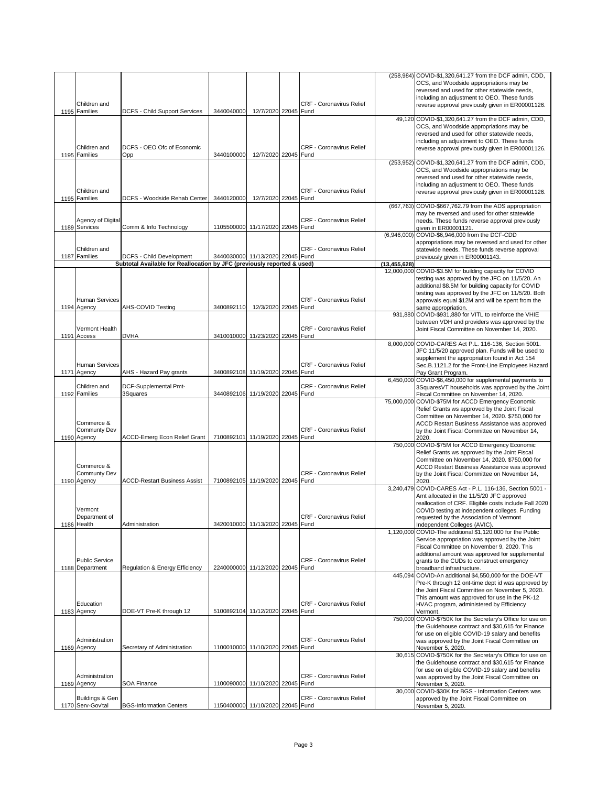|                                          |                                                                         |                                  |                       |      |                                 |                | (258,984) COVID-\$1,320,641.27 from the DCF admin, CDD,                                                       |
|------------------------------------------|-------------------------------------------------------------------------|----------------------------------|-----------------------|------|---------------------------------|----------------|---------------------------------------------------------------------------------------------------------------|
|                                          |                                                                         |                                  |                       |      |                                 |                | OCS, and Woodside appropriations may be<br>reversed and used for other statewide needs,                       |
|                                          |                                                                         |                                  |                       |      |                                 |                | including an adjustment to OEO. These funds                                                                   |
| Children and<br>1195 Families            | DCFS - Child Support Services                                           | 3440040000                       | 12/7/2020 22045 Fund  |      | <b>CRF - Coronavirus Relief</b> |                | reverse approval previously given in ER00001126.                                                              |
|                                          |                                                                         |                                  |                       |      |                                 |                | 49,120 COVID-\$1,320,641.27 from the DCF admin, CDD,                                                          |
|                                          |                                                                         |                                  |                       |      |                                 |                | OCS, and Woodside appropriations may be                                                                       |
|                                          |                                                                         |                                  |                       |      |                                 |                | reversed and used for other statewide needs,<br>including an adjustment to OEO. These funds                   |
| Children and                             | DCFS - OEO Ofc of Economic                                              |                                  |                       |      | <b>CRF - Coronavirus Relief</b> |                | reverse approval previously given in ER00001126.                                                              |
| 1195 Families                            | Opp                                                                     | 3440100000                       | 12/7/2020 22045 Fund  |      |                                 |                | (253,952) COVID-\$1,320,641.27 from the DCF admin, CDD,                                                       |
|                                          |                                                                         |                                  |                       |      |                                 |                | OCS, and Woodside appropriations may be                                                                       |
|                                          |                                                                         |                                  |                       |      |                                 |                | reversed and used for other statewide needs,<br>including an adjustment to OEO. These funds                   |
| Children and                             |                                                                         |                                  |                       |      | <b>CRF - Coronavirus Relief</b> |                | reverse approval previously given in ER00001126.                                                              |
| 1195 Families                            | DCFS - Woodside Rehab Center                                            | 3440120000                       | 12/7/2020 22045       | Fund |                                 |                |                                                                                                               |
|                                          |                                                                         |                                  |                       |      |                                 |                | (667,763) COVID-\$667,762.79 from the ADS appropriation<br>may be reversed and used for other statewide       |
| Agency of Digital                        |                                                                         |                                  |                       |      | <b>CRF - Coronavirus Relief</b> |                | needs. These funds reverse approval previously                                                                |
| 1189 Services                            | Comm & Info Technology                                                  | 1105500000 11/17/2020 22045 Fund |                       |      |                                 |                | given in ER00001121.<br>(6,946,000) COVID-\$6,946,000 from the DCF-CDD                                        |
|                                          |                                                                         |                                  |                       |      |                                 |                | appropriations may be reversed and used for other                                                             |
| Children and<br>1187 Families            | DCFS - Child Development                                                | 3440030000 11/13/2020 22045 Fund |                       |      | <b>CRF - Coronavirus Relief</b> |                | statewide needs. These funds reverse approval                                                                 |
|                                          | Subtotal Available for Reallocation by JFC (previously reported & used) |                                  |                       |      |                                 | (13, 455, 628) | previously given in ER00001143.                                                                               |
|                                          |                                                                         |                                  |                       |      |                                 |                | 12,000,000 COVID-\$3.5M for building capacity for COVID                                                       |
|                                          |                                                                         |                                  |                       |      |                                 |                | testing was approved by the JFC on 11/5/20. An<br>additional \$8.5M for building capacity for COVID           |
|                                          |                                                                         |                                  |                       |      |                                 |                | testing was approved by the JFC on 11/5/20. Both                                                              |
| <b>Human Services</b><br>1194 Agency     | AHS-COVID Testing                                                       | 3400892110                       | 12/3/2020 22045 Fund  |      | <b>CRF - Coronavirus Relief</b> |                | approvals equal \$12M and will be spent from the<br>same appropriation.                                       |
|                                          |                                                                         |                                  |                       |      |                                 |                | 931,880 COVID-\$931,880 for VITL to reinforce the VHIE                                                        |
| Vermont Health                           |                                                                         |                                  |                       |      | <b>CRF - Coronavirus Relief</b> |                | between VDH and providers was approved by the                                                                 |
| 1191 Access                              | <b>DVHA</b>                                                             | 3410010000 11/23/2020 22045 Fund |                       |      |                                 |                | Joint Fiscal Committee on November 14, 2020.                                                                  |
|                                          |                                                                         |                                  |                       |      |                                 |                | 8,000,000 COVID-CARES Act P.L. 116-136, Section 5001.                                                         |
|                                          |                                                                         |                                  |                       |      |                                 |                | JFC 11/5/20 approved plan. Funds will be used to<br>supplement the appropriation found in Act 154             |
| <b>Human Services</b>                    |                                                                         |                                  |                       |      | <b>CRF - Coronavirus Relief</b> |                | Sec.B.1121.2 for the Front-Line Employees Hazard                                                              |
| 1171 Agency                              | AHS - Hazard Pay grants                                                 | 3400892108 11/19/2020 22045 Fund |                       |      |                                 |                | Pay Grant Program.<br>6,450,000 COVID-\$6,450,000 for supplemental payments to                                |
| Children and                             | DCF-Supplemental Pmt-                                                   |                                  |                       |      | <b>CRF - Coronavirus Relief</b> |                | 3SquaresVT households was approved by the Joint                                                               |
| 1192 Families                            | 3Squares                                                                | 3440892106 11/19/2020 22045 Fund |                       |      |                                 |                | Fiscal Committee on November 14, 2020.                                                                        |
|                                          |                                                                         |                                  |                       |      |                                 |                | 75,000,000 COVID-\$75M for ACCD Emergency Economic<br>Relief Grants ws approved by the Joint Fiscal           |
|                                          |                                                                         |                                  |                       |      |                                 |                | Committee on November 14, 2020. \$750,000 for                                                                 |
| Commerce &<br>Communty Dev               |                                                                         |                                  |                       |      | <b>CRF - Coronavirus Relief</b> |                | ACCD Restart Business Assistance was approved<br>by the Joint Fiscal Committee on November 14,                |
| 1190 Agency                              | ACCD-Emerg Econ Relief Grant                                            | 7100892101 11/19/2020 22045 Fund |                       |      |                                 |                | 2020.                                                                                                         |
|                                          |                                                                         |                                  |                       |      |                                 |                | 750,000 COVID-\$75M for ACCD Emergency Economic<br>Relief Grants ws approved by the Joint Fiscal              |
|                                          |                                                                         |                                  |                       |      |                                 |                | Committee on November 14, 2020. \$750,000 for                                                                 |
| Commerce &<br>Communty Dev               |                                                                         |                                  |                       |      | <b>CRF - Coronavirus Relief</b> |                | ACCD Restart Business Assistance was approved<br>by the Joint Fiscal Committee on November 14,                |
| 1190 Agency                              | <b>ACCD-Restart Business Assist</b>                                     | 7100892105 11/19/2020 22045 Fund |                       |      |                                 |                | 2020.                                                                                                         |
|                                          |                                                                         |                                  |                       |      |                                 |                | 3,240,479 COVID-CARES Act - P.L. 116-136, Section 5001 -<br>Amt allocated in the 11/5/20 JFC approved         |
|                                          |                                                                         |                                  |                       |      |                                 |                | reallocation of CRF. Eligible costs include Fall 2020                                                         |
| Vermont                                  |                                                                         |                                  |                       |      |                                 |                | COVID testing at independent colleges. Funding                                                                |
| Department or<br>1186 Health             | Administration                                                          | 3420010000                       | 11/13/2020 22045 Fund |      | CRF - Coronavirus Relief        |                | requested by the Association of Vermont<br>Independent Colleges (AVIC).                                       |
|                                          |                                                                         |                                  |                       |      |                                 |                | 1,120,000 COVID-The additional \$1,120,000 for the Public                                                     |
|                                          |                                                                         |                                  |                       |      |                                 |                | Service appropriation was approved by the Joint<br>Fiscal Committee on November 9, 2020. This                 |
|                                          |                                                                         |                                  |                       |      |                                 |                | additional amount was approved for supplemental                                                               |
| <b>Public Service</b><br>1188 Department | Regulation & Energy Efficiency                                          | 2240000000 11/12/2020 22045 Fund |                       |      | CRF - Coronavirus Relief        |                | grants to the CUDs to construct emergency<br>broadband infrastructure.                                        |
|                                          |                                                                         |                                  |                       |      |                                 |                | 445,094 COVID-An additional \$4,550,000 for the DOE-VT                                                        |
|                                          |                                                                         |                                  |                       |      |                                 |                | Pre-K through 12 ont-time dept id was approved by<br>the Joint Fiscal Committee on November 5, 2020.          |
|                                          |                                                                         |                                  |                       |      |                                 |                | This amount was approved for use in the PK-12                                                                 |
| Education<br>1183 Agency                 | DOE-VT Pre-K through 12                                                 | 5100892104 11/12/2020 22045 Fund |                       |      | CRF - Coronavirus Relief        |                | HVAC program, administered by Efficiency                                                                      |
|                                          |                                                                         |                                  |                       |      |                                 |                | Vermont.<br>750,000 COVID-\$750K for the Secretary's Office for use on                                        |
|                                          |                                                                         |                                  |                       |      |                                 |                | the Guidehouse contract and \$30,615 for Finance                                                              |
| Administration                           |                                                                         |                                  |                       |      | <b>CRF - Coronavirus Relief</b> |                | for use on eligible COVID-19 salary and benefits<br>was approved by the Joint Fiscal Committee on             |
| 1169 Agency                              | Secretary of Administration                                             | 1100010000 11/10/2020 22045      |                       | Fund |                                 |                | November 5, 2020.                                                                                             |
|                                          |                                                                         |                                  |                       |      |                                 |                | 30,615 COVID-\$750K for the Secretary's Office for use on<br>the Guidehouse contract and \$30,615 for Finance |
|                                          |                                                                         |                                  |                       |      |                                 |                | for use on eligible COVID-19 salary and benefits                                                              |
| Administration                           |                                                                         | 1100090000 11/10/2020 22045      |                       | Fund | <b>CRF - Coronavirus Relief</b> |                | was approved by the Joint Fiscal Committee on                                                                 |
| 1169 Agency                              | SOA Finance                                                             |                                  |                       |      |                                 |                | November 5, 2020.<br>30,000 COVID-\$30K for BGS - Information Centers was                                     |
| Buildings & Gen                          |                                                                         |                                  |                       |      | CRF - Coronavirus Relief        |                | approved by the Joint Fiscal Committee on                                                                     |
| 1170 Serv-Gov'tal                        | <b>BGS-Information Centers</b>                                          | 1150400000 11/10/2020 22045 Fund |                       |      |                                 |                | November 5, 2020.                                                                                             |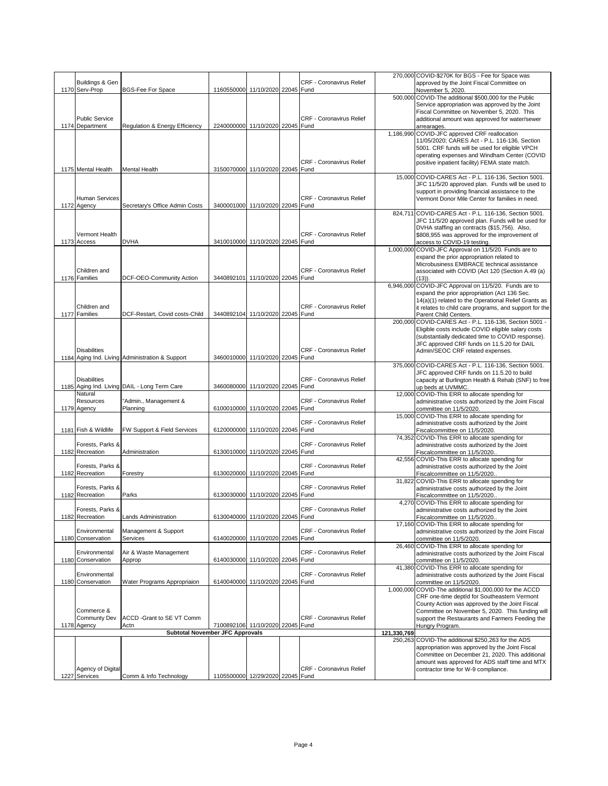| Buildings & Gen                     |                                                 |                                  |  | <b>CRF - Coronavirus Relief</b> |             | 270,000 COVID-\$270K for BGS - Fee for Space was<br>approved by the Joint Fiscal Committee on         |
|-------------------------------------|-------------------------------------------------|----------------------------------|--|---------------------------------|-------------|-------------------------------------------------------------------------------------------------------|
| 1170 Serv-Prop                      | <b>BGS-Fee For Space</b>                        | 1160550000 11/10/2020 22045 Fund |  |                                 |             | November 5, 2020.                                                                                     |
|                                     |                                                 |                                  |  |                                 |             | 500,000 COVID-The additional \$500,000 for the Public                                                 |
|                                     |                                                 |                                  |  |                                 |             | Service appropriation was approved by the Joint<br>Fiscal Committee on November 5, 2020. This         |
| <b>Public Service</b>               |                                                 |                                  |  | <b>CRF - Coronavirus Relief</b> |             | additional amount was approved for water/sewer                                                        |
| 1174 Department                     | Regulation & Energy Efficiency                  | 2240000000 11/10/2020 22045 Fund |  |                                 |             | arrearages.                                                                                           |
|                                     |                                                 |                                  |  |                                 |             | 1,186,990 COVID-JFC approved CRF reallocation                                                         |
|                                     |                                                 |                                  |  |                                 |             | 11/05/2020; CARES Act - P.L. 116-136, Section<br>5001. CRF funds will be used for eligible VPCH       |
|                                     |                                                 |                                  |  |                                 |             | operating expenses and Windham Center (COVID                                                          |
|                                     |                                                 |                                  |  | <b>CRF - Coronavirus Relief</b> |             | positive inpatient facility) FEMA state match.                                                        |
| 1175 Mental Health                  | Mental Health                                   | 3150070000 11/10/2020 22045 Fund |  |                                 |             | 15,000 COVID-CARES Act - P.L. 116-136, Section 5001.                                                  |
|                                     |                                                 |                                  |  |                                 |             | JFC 11/5/20 approved plan. Funds will be used to                                                      |
|                                     |                                                 |                                  |  |                                 |             | support in providing financial assistance to the                                                      |
| <b>Human Services</b>               |                                                 |                                  |  | <b>CRF - Coronavirus Relief</b> |             | Vermont Donor Mile Center for families in need.                                                       |
| 1172 Agency                         | Secretary's Office Admin Costs                  | 3400001000 11/10/2020 22045 Fund |  |                                 | 824,711     | COVID-CARES Act - P.L. 116-136, Section 5001.                                                         |
|                                     |                                                 |                                  |  |                                 |             | JFC 11/5/20 approved plan. Funds will be used for                                                     |
|                                     |                                                 |                                  |  |                                 |             | DVHA staffing an contracts (\$15,756). Also,                                                          |
| Vermont Health<br>1173 Access       | <b>DVHA</b>                                     | 3410010000 11/10/2020 22045 Fund |  | <b>CRF - Coronavirus Relief</b> |             | \$808,955 was approved for the improvement of<br>access to COVID-19 testing.                          |
|                                     |                                                 |                                  |  |                                 |             | 1,000,000 COVID-JFC Approval on 11/5/20. Funds are to                                                 |
|                                     |                                                 |                                  |  |                                 |             | expand the prior appropriation related to                                                             |
|                                     |                                                 |                                  |  |                                 |             | Microbusiness EMBRACE technical assistance                                                            |
| Children and<br>1176 Families       | DCF-OEO-Community Action                        | 3440892101 11/10/2020 22045 Fund |  | CRF - Coronavirus Relief        |             | associated with COVID (Act 120 (Section A.49 (a)<br>(13)).                                            |
|                                     |                                                 |                                  |  |                                 |             | 6,946,000 COVID-JFC Approval on 11/5/20. Funds are to                                                 |
|                                     |                                                 |                                  |  |                                 |             | expand the prior appropriation (Act 136 Sec.                                                          |
| Children and                        |                                                 |                                  |  | CRF - Coronavirus Relief        |             | 14(a)(1) related to the Operational Relief Grants as                                                  |
| 1177 Families                       | DCF-Restart, Covid costs-Child                  | 3440892104 11/10/2020 22045 Fund |  |                                 |             | it relates to child care programs, and support for the<br>Parent Child Centers.                       |
|                                     |                                                 |                                  |  |                                 |             | 200,000 COVID-CARES Act - P.L. 116-136, Section 5001 -                                                |
|                                     |                                                 |                                  |  |                                 |             | Eligible costs include COVID eligible salary costs                                                    |
|                                     |                                                 |                                  |  |                                 |             | (substantially dedicated time to COVID response).<br>JFC approved CRF funds on 11.5.20 for DAIL       |
| <b>Disabilities</b>                 |                                                 |                                  |  | CRF - Coronavirus Relief        |             | Admin/SEOC CRF related expenses.                                                                      |
|                                     | 1184 Aging Ind. Living Administration & Support | 3460010000 11/10/2020 22045 Fund |  |                                 |             |                                                                                                       |
|                                     |                                                 |                                  |  |                                 |             | 375,000 COVID-CARES Act - P.L. 116-136, Section 5001.<br>JFC approved CRF funds on 11.5.20 to build   |
| <b>Disabilities</b>                 |                                                 |                                  |  | CRF - Coronavirus Relief        |             | capacity at Burlington Health & Rehab (SNF) to free                                                   |
|                                     | 1185 Aging Ind. Living DAIL - Long Term Care    | 3460080000 11/10/2020 22045 Fund |  |                                 |             | up beds at UVMMC.                                                                                     |
| Natural<br>Resources                | "Admin., Management &                           |                                  |  | CRF - Coronavirus Relief        |             | 12,000 COVID-This ERR to allocate spending for                                                        |
| 1179 Agency                         | Planning                                        | 6100010000 11/10/2020 22045 Fund |  |                                 |             | administrative costs authorized by the Joint Fiscal<br>committee on 11/5/2020.                        |
|                                     |                                                 |                                  |  |                                 |             | 15,000 COVID-This ERR to allocate spending for                                                        |
| 1181 Fish & Wildlife                | FW Support & Field Services                     | 6120000000 11/10/2020 22045 Fund |  | <b>CRF - Coronavirus Relief</b> |             | administrative costs authorized by the Joint                                                          |
|                                     |                                                 |                                  |  |                                 |             | Fiscalcommittee on 11/5/2020.<br>74,352 COVID-This ERR to allocate spending for                       |
| Forests, Parks &                    |                                                 |                                  |  | <b>CRF - Coronavirus Relief</b> |             | administrative costs authorized by the Joint                                                          |
| 1182 Recreation                     | Administration                                  | 6130010000 11/10/2020 22045 Fund |  |                                 |             | Fiscalcommittee on 11/5/2020.                                                                         |
| Forests, Parks &                    |                                                 |                                  |  | CRF - Coronavirus Relief        |             | 42,556 COVID-This ERR to allocate spending for<br>administrative costs authorized by the Joint        |
| 1182 Recreation                     | Forestry                                        | 6130020000 11/10/2020 22045 Fund |  |                                 |             | Fiscalcommittee on 11/5/2020.                                                                         |
|                                     |                                                 |                                  |  |                                 |             | 31,822 COVID-This ERR to allocate spending for                                                        |
| Forests, Parks &<br>1182 Recreation | Parks                                           | 6130030000 11/10/2020 22045 Fund |  | <b>CRF - Coronavirus Relief</b> |             | administrative costs authorized by the Joint<br>Fiscalcommittee on 11/5/2020.                         |
|                                     |                                                 |                                  |  |                                 |             | 4,270 COVID-This ERR to allocate spending for                                                         |
| Forests, Parks &                    |                                                 |                                  |  | CRF - Coronavirus Relief        |             | administrative costs authorized by the Joint                                                          |
| 1182 Recreation                     | <b>Lands Administration</b>                     | 6130040000 11/10/2020 22045 Fund |  |                                 |             | Fiscalcommittee on 11/5/2020                                                                          |
| Environmental                       | Management & Support                            |                                  |  | CRF - Coronavirus Relief        |             | 17,160 COVID-This ERR to allocate spending for<br>administrative costs authorized by the Joint Fiscal |
| 1180 Conservation                   | <b>Services</b>                                 | 6140020000 11/10/2020 22045      |  | Fund                            |             | committee on 11/5/2020.                                                                               |
|                                     |                                                 |                                  |  |                                 |             | 26,460 COVID-This ERR to allocate spending for                                                        |
|                                     |                                                 |                                  |  |                                 |             |                                                                                                       |
| Environmental                       | Air & Waste Management                          |                                  |  | <b>CRF - Coronavirus Relief</b> |             | administrative costs authorized by the Joint Fiscal                                                   |
| 1180 Conservation                   | Approp                                          | 6140030000 11/10/2020 22045 Fund |  |                                 |             | committee on 11/5/2020.<br>41,380 COVID-This ERR to allocate spending for                             |
| Environmental                       |                                                 |                                  |  | CRF - Coronavirus Relief        |             | administrative costs authorized by the Joint Fiscal                                                   |
| 1180 Conservation                   | Water Programs Appropriaion                     | 6140040000 11/10/2020 22045 Fund |  |                                 |             | committee on 11/5/2020.                                                                               |
|                                     |                                                 |                                  |  |                                 | 1,000,000   | COVID-The additional \$1,000,000 for the ACCD<br>CRF one-time deptId for Southeastern Vermont         |
|                                     |                                                 |                                  |  |                                 |             | County Action was approved by the Joint Fiscal                                                        |
| Commerce &                          |                                                 |                                  |  |                                 |             | Committee on November 5, 2020. This funding will                                                      |
| Communty Dev                        | ACCD -Grant to SE VT Comm                       |                                  |  | CRF - Coronavirus Relief        |             | support the Restaurants and Farmers Feeding the                                                       |
| 1178 Agency                         | Actn<br>Subtotal November JFC Approvals         | 7100892106 11/10/2020 22045 Fund |  |                                 | 121,330,769 | Hungry Program.                                                                                       |
|                                     |                                                 |                                  |  |                                 |             | 250,263 COVID-The additional \$250,263 for the ADS                                                    |
|                                     |                                                 |                                  |  |                                 |             | appropriation was approved by the Joint Fiscal                                                        |
|                                     |                                                 |                                  |  |                                 |             | Committee on December 21, 2020. This additional<br>amount was approved for ADS staff time and MTX     |
| Agency of Digital<br>1227 Services  | Comm & Info Technology                          | 1105500000 12/29/2020 22045 Fund |  | <b>CRF - Coronavirus Relief</b> |             | contractor time for W-9 compliance.                                                                   |